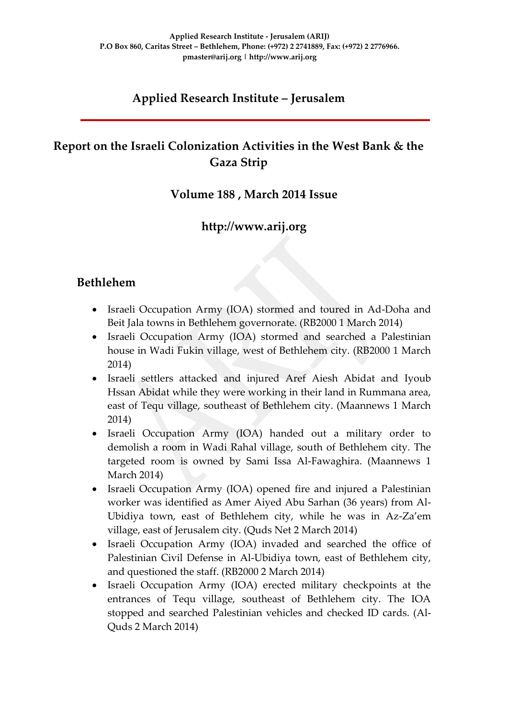### **Applied Research Institute – Jerusalem**

### **Report on the Israeli Colonization Activities in the West Bank & the Gaza Strip**

#### **Volume 188 , March 2014 Issue**

### **http://www.arij.org**

#### **Bethlehem**

- Israeli Occupation Army (IOA) stormed and toured in Ad-Doha and Beit Jala towns in Bethlehem governorate. (RB2000 1 March 2014)
- Israeli Occupation Army (IOA) stormed and searched a Palestinian house in Wadi Fukin village, west of Bethlehem city. (RB2000 1 March 2014)
- Israeli settlers attacked and injured Aref Aiesh Abidat and Iyoub Hssan Abidat while they were working in their land in Rummana area, east of Tequ village, southeast of Bethlehem city. (Maannews 1 March 2014)
- Israeli Occupation Army (IOA) handed out a military order to demolish a room in Wadi Rahal village, south of Bethlehem city. The targeted room is owned by Sami Issa Al-Fawaghira. (Maannews 1 March 2014)
- Israeli Occupation Army (IOA) opened fire and injured a Palestinian worker was identified as Amer Aiyed Abu Sarhan (36 years) from Al-Ubidiya town, east of Bethlehem city, while he was in Az-Za'em village, east of Jerusalem city. (Quds Net 2 March 2014)
- Israeli Occupation Army (IOA) invaded and searched the office of Palestinian Civil Defense in Al-Ubidiya town, east of Bethlehem city, and questioned the staff. (RB2000 2 March 2014)
- Israeli Occupation Army (IOA) erected military checkpoints at the entrances of Tequ village, southeast of Bethlehem city. The IOA stopped and searched Palestinian vehicles and checked ID cards. (Al-Quds 2 March 2014)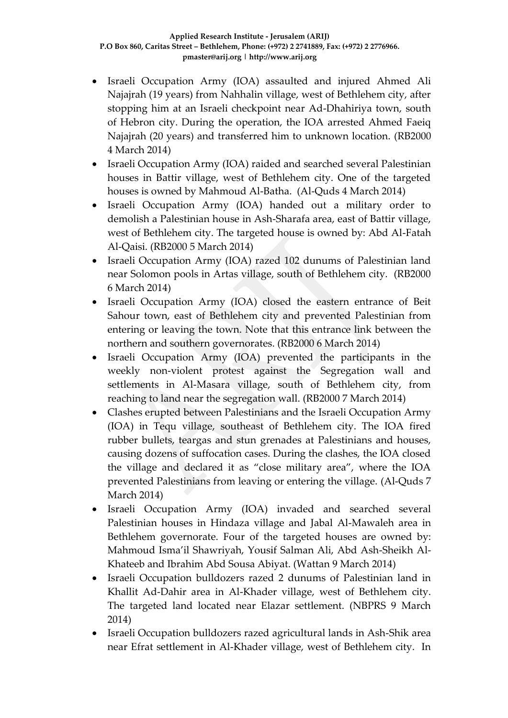- Israeli Occupation Army (IOA) assaulted and injured Ahmed Ali Najajrah (19 years) from Nahhalin village, west of Bethlehem city, after stopping him at an Israeli checkpoint near Ad-Dhahiriya town, south of Hebron city. During the operation, the IOA arrested Ahmed Faeiq Najajrah (20 years) and transferred him to unknown location. (RB2000 4 March 2014)
- Israeli Occupation Army (IOA) raided and searched several Palestinian houses in Battir village, west of Bethlehem city. One of the targeted houses is owned by Mahmoud Al-Batha. (Al-Quds 4 March 2014)
- Israeli Occupation Army (IOA) handed out a military order to demolish a Palestinian house in Ash-Sharafa area, east of Battir village, west of Bethlehem city. The targeted house is owned by: Abd Al-Fatah Al-Qaisi. (RB2000 5 March 2014)
- Israeli Occupation Army (IOA) razed 102 dunums of Palestinian land near Solomon pools in Artas village, south of Bethlehem city. (RB2000 6 March 2014)
- Israeli Occupation Army (IOA) closed the eastern entrance of Beit Sahour town, east of Bethlehem city and prevented Palestinian from entering or leaving the town. Note that this entrance link between the northern and southern governorates. (RB2000 6 March 2014)
- Israeli Occupation Army (IOA) prevented the participants in the weekly non-violent protest against the Segregation wall and settlements in Al-Masara village, south of Bethlehem city, from reaching to land near the segregation wall. (RB2000 7 March 2014)
- Clashes erupted between Palestinians and the Israeli Occupation Army (IOA) in Tequ village, southeast of Bethlehem city. The IOA fired rubber bullets, teargas and stun grenades at Palestinians and houses, causing dozens of suffocation cases. During the clashes, the IOA closed the village and declared it as "close military area", where the IOA prevented Palestinians from leaving or entering the village. (Al-Quds 7 March 2014)
- Israeli Occupation Army (IOA) invaded and searched several Palestinian houses in Hindaza village and Jabal Al-Mawaleh area in Bethlehem governorate. Four of the targeted houses are owned by: Mahmoud Isma'il Shawriyah, Yousif Salman Ali, Abd Ash-Sheikh Al-Khateeb and Ibrahim Abd Sousa Abiyat. (Wattan 9 March 2014)
- Israeli Occupation bulldozers razed 2 dunums of Palestinian land in Khallit Ad-Dahir area in Al-Khader village, west of Bethlehem city. The targeted land located near Elazar settlement. (NBPRS 9 March 2014)
- Israeli Occupation bulldozers razed agricultural lands in Ash-Shik area near Efrat settlement in Al-Khader village, west of Bethlehem city. In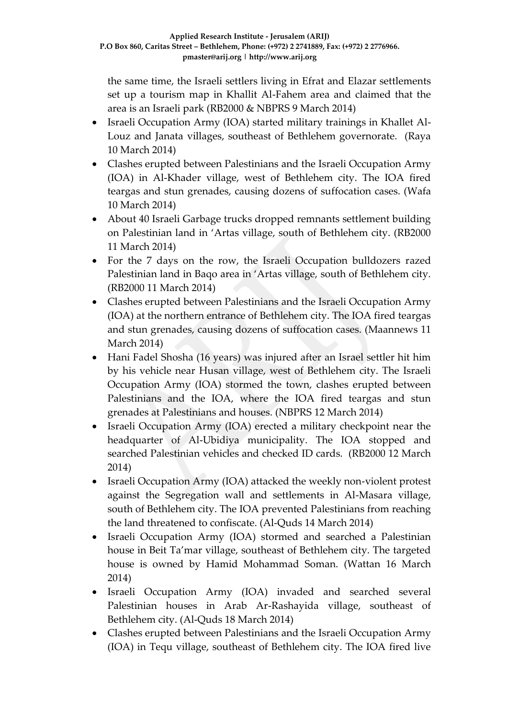the same time, the Israeli settlers living in Efrat and Elazar settlements set up a tourism map in Khallit Al-Fahem area and claimed that the area is an Israeli park (RB2000 & NBPRS 9 March 2014)

- Israeli Occupation Army (IOA) started military trainings in Khallet Al-Louz and Janata villages, southeast of Bethlehem governorate. (Raya 10 March 2014)
- Clashes erupted between Palestinians and the Israeli Occupation Army (IOA) in Al-Khader village, west of Bethlehem city. The IOA fired teargas and stun grenades, causing dozens of suffocation cases. (Wafa 10 March 2014)
- About 40 Israeli Garbage trucks dropped remnants settlement building on Palestinian land in 'Artas village, south of Bethlehem city. (RB2000 11 March 2014)
- For the 7 days on the row, the Israeli Occupation bulldozers razed Palestinian land in Baqo area in 'Artas village, south of Bethlehem city. (RB2000 11 March 2014)
- Clashes erupted between Palestinians and the Israeli Occupation Army (IOA) at the northern entrance of Bethlehem city. The IOA fired teargas and stun grenades, causing dozens of suffocation cases. (Maannews 11 March 2014)
- Hani Fadel Shosha (16 years) was injured after an Israel settler hit him by his vehicle near Husan village, west of Bethlehem city. The Israeli Occupation Army (IOA) stormed the town, clashes erupted between Palestinians and the IOA, where the IOA fired teargas and stun grenades at Palestinians and houses. (NBPRS 12 March 2014)
- Israeli Occupation Army (IOA) erected a military checkpoint near the headquarter of Al-Ubidiya municipality. The IOA stopped and searched Palestinian vehicles and checked ID cards. (RB2000 12 March 2014)
- Israeli Occupation Army (IOA) attacked the weekly non-violent protest against the Segregation wall and settlements in Al-Masara village, south of Bethlehem city. The IOA prevented Palestinians from reaching the land threatened to confiscate. (Al-Quds 14 March 2014)
- Israeli Occupation Army (IOA) stormed and searched a Palestinian house in Beit Ta'mar village, southeast of Bethlehem city. The targeted house is owned by Hamid Mohammad Soman. (Wattan 16 March 2014)
- Israeli Occupation Army (IOA) invaded and searched several Palestinian houses in Arab Ar-Rashayida village, southeast of Bethlehem city. (Al-Quds 18 March 2014)
- Clashes erupted between Palestinians and the Israeli Occupation Army (IOA) in Tequ village, southeast of Bethlehem city. The IOA fired live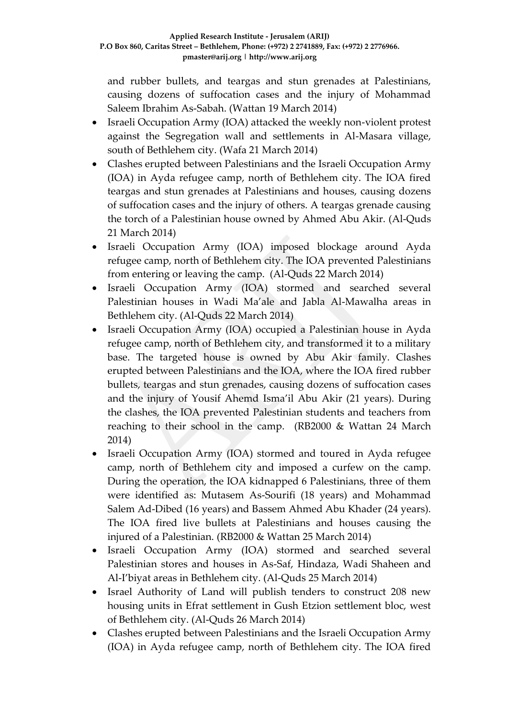and rubber bullets, and teargas and stun grenades at Palestinians, causing dozens of suffocation cases and the injury of Mohammad Saleem Ibrahim As-Sabah. (Wattan 19 March 2014)

- Israeli Occupation Army (IOA) attacked the weekly non-violent protest against the Segregation wall and settlements in Al-Masara village, south of Bethlehem city. (Wafa 21 March 2014)
- Clashes erupted between Palestinians and the Israeli Occupation Army (IOA) in Ayda refugee camp, north of Bethlehem city. The IOA fired teargas and stun grenades at Palestinians and houses, causing dozens of suffocation cases and the injury of others. A teargas grenade causing the torch of a Palestinian house owned by Ahmed Abu Akir. (Al-Quds 21 March 2014)
- Israeli Occupation Army (IOA) imposed blockage around Ayda refugee camp, north of Bethlehem city. The IOA prevented Palestinians from entering or leaving the camp. (Al-Quds 22 March 2014)
- Israeli Occupation Army (IOA) stormed and searched several Palestinian houses in Wadi Ma'ale and Jabla Al-Mawalha areas in Bethlehem city. (Al-Quds 22 March 2014)
- Israeli Occupation Army (IOA) occupied a Palestinian house in Ayda refugee camp, north of Bethlehem city, and transformed it to a military base. The targeted house is owned by Abu Akir family. Clashes erupted between Palestinians and the IOA, where the IOA fired rubber bullets, teargas and stun grenades, causing dozens of suffocation cases and the injury of Yousif Ahemd Isma'il Abu Akir (21 years). During the clashes, the IOA prevented Palestinian students and teachers from reaching to their school in the camp. (RB2000 & Wattan 24 March 2014)
- Israeli Occupation Army (IOA) stormed and toured in Ayda refugee camp, north of Bethlehem city and imposed a curfew on the camp. During the operation, the IOA kidnapped 6 Palestinians, three of them were identified as: Mutasem As-Sourifi (18 years) and Mohammad Salem Ad-Dibed (16 years) and Bassem Ahmed Abu Khader (24 years). The IOA fired live bullets at Palestinians and houses causing the injured of a Palestinian. (RB2000 & Wattan 25 March 2014)
- Israeli Occupation Army (IOA) stormed and searched several Palestinian stores and houses in As-Saf, Hindaza, Wadi Shaheen and Al-I'biyat areas in Bethlehem city. (Al-Quds 25 March 2014)
- Israel Authority of Land will publish tenders to construct 208 new housing units in Efrat settlement in Gush Etzion settlement bloc, west of Bethlehem city. (Al-Quds 26 March 2014)
- Clashes erupted between Palestinians and the Israeli Occupation Army (IOA) in Ayda refugee camp, north of Bethlehem city. The IOA fired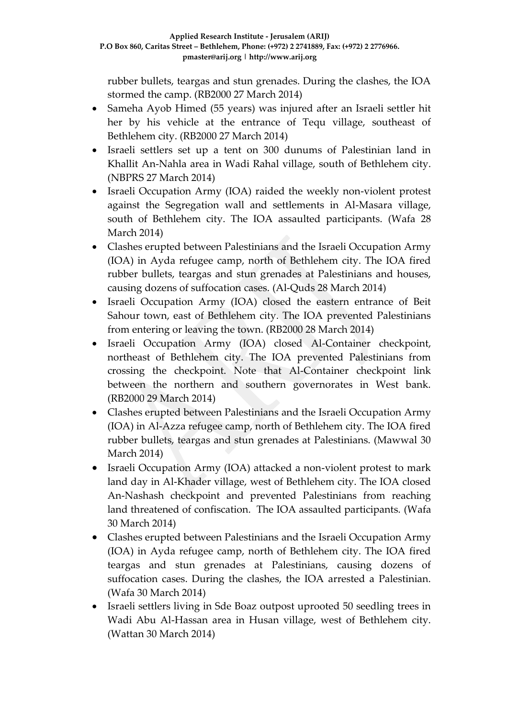rubber bullets, teargas and stun grenades. During the clashes, the IOA stormed the camp. (RB2000 27 March 2014)

- Sameha Ayob Himed (55 years) was injured after an Israeli settler hit her by his vehicle at the entrance of Tequ village, southeast of Bethlehem city. (RB2000 27 March 2014)
- Israeli settlers set up a tent on 300 dunums of Palestinian land in Khallit An-Nahla area in Wadi Rahal village, south of Bethlehem city. (NBPRS 27 March 2014)
- Israeli Occupation Army (IOA) raided the weekly non-violent protest against the Segregation wall and settlements in Al-Masara village, south of Bethlehem city. The IOA assaulted participants. (Wafa 28 March 2014)
- Clashes erupted between Palestinians and the Israeli Occupation Army (IOA) in Ayda refugee camp, north of Bethlehem city. The IOA fired rubber bullets, teargas and stun grenades at Palestinians and houses, causing dozens of suffocation cases. (Al-Quds 28 March 2014)
- Israeli Occupation Army (IOA) closed the eastern entrance of Beit Sahour town, east of Bethlehem city. The IOA prevented Palestinians from entering or leaving the town. (RB2000 28 March 2014)
- Israeli Occupation Army (IOA) closed Al-Container checkpoint, northeast of Bethlehem city. The IOA prevented Palestinians from crossing the checkpoint. Note that Al-Container checkpoint link between the northern and southern governorates in West bank. (RB2000 29 March 2014)
- Clashes erupted between Palestinians and the Israeli Occupation Army (IOA) in Al-Azza refugee camp, north of Bethlehem city. The IOA fired rubber bullets, teargas and stun grenades at Palestinians. (Mawwal 30 March 2014)
- Israeli Occupation Army (IOA) attacked a non-violent protest to mark land day in Al-Khader village, west of Bethlehem city. The IOA closed An-Nashash checkpoint and prevented Palestinians from reaching land threatened of confiscation. The IOA assaulted participants. (Wafa 30 March 2014)
- Clashes erupted between Palestinians and the Israeli Occupation Army (IOA) in Ayda refugee camp, north of Bethlehem city. The IOA fired teargas and stun grenades at Palestinians, causing dozens of suffocation cases. During the clashes, the IOA arrested a Palestinian. (Wafa 30 March 2014)
- Israeli settlers living in Sde Boaz outpost uprooted 50 seedling trees in Wadi Abu Al-Hassan area in Husan village, west of Bethlehem city. (Wattan 30 March 2014)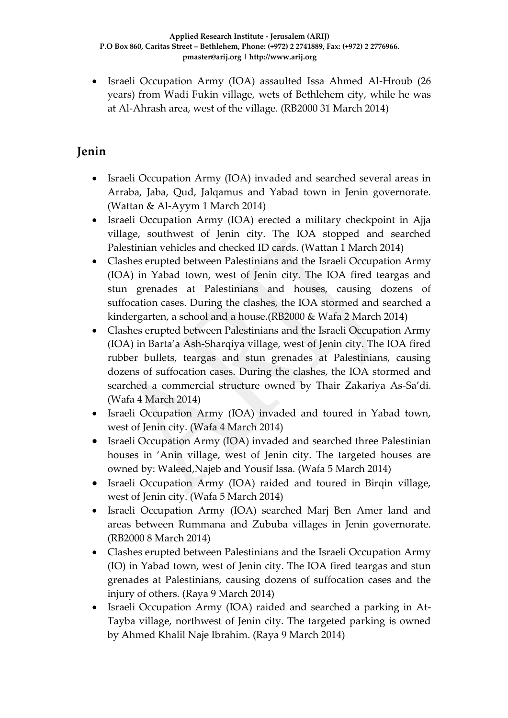Israeli Occupation Army (IOA) assaulted Issa Ahmed Al-Hroub (26 years) from Wadi Fukin village, wets of Bethlehem city, while he was at Al-Ahrash area, west of the village. (RB2000 31 March 2014)

# **Jenin**

- Israeli Occupation Army (IOA) invaded and searched several areas in Arraba, Jaba, Qud, Jalqamus and Yabad town in Jenin governorate. (Wattan & Al-Ayym 1 March 2014)
- Israeli Occupation Army (IOA) erected a military checkpoint in Ajja village, southwest of Jenin city. The IOA stopped and searched Palestinian vehicles and checked ID cards. (Wattan 1 March 2014)
- Clashes erupted between Palestinians and the Israeli Occupation Army (IOA) in Yabad town, west of Jenin city. The IOA fired teargas and stun grenades at Palestinians and houses, causing dozens of suffocation cases. During the clashes, the IOA stormed and searched a kindergarten, a school and a house.(RB2000 & Wafa 2 March 2014)
- Clashes erupted between Palestinians and the Israeli Occupation Army (IOA) in Barta'a Ash-Sharqiya village, west of Jenin city. The IOA fired rubber bullets, teargas and stun grenades at Palestinians, causing dozens of suffocation cases. During the clashes, the IOA stormed and searched a commercial structure owned by Thair Zakariya As-Sa'di. (Wafa 4 March 2014)
- Israeli Occupation Army (IOA) invaded and toured in Yabad town, west of Jenin city. (Wafa 4 March 2014)
- Israeli Occupation Army (IOA) invaded and searched three Palestinian houses in 'Anin village, west of Jenin city. The targeted houses are owned by: Waleed,Najeb and Yousif Issa. (Wafa 5 March 2014)
- Israeli Occupation Army (IOA) raided and toured in Birqin village, west of Jenin city. (Wafa 5 March 2014)
- Israeli Occupation Army (IOA) searched Marj Ben Amer land and areas between Rummana and Zububa villages in Jenin governorate. (RB2000 8 March 2014)
- Clashes erupted between Palestinians and the Israeli Occupation Army (IO) in Yabad town, west of Jenin city. The IOA fired teargas and stun grenades at Palestinians, causing dozens of suffocation cases and the injury of others. (Raya 9 March 2014)
- Israeli Occupation Army (IOA) raided and searched a parking in At-Tayba village, northwest of Jenin city. The targeted parking is owned by Ahmed Khalil Naje Ibrahim. (Raya 9 March 2014)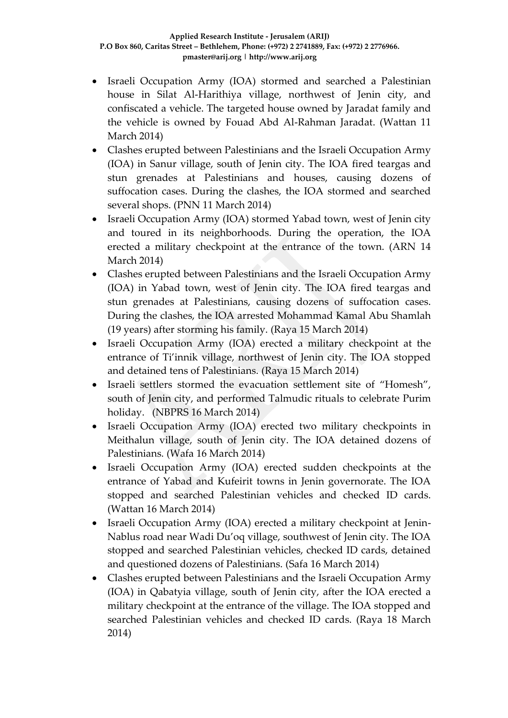- Israeli Occupation Army (IOA) stormed and searched a Palestinian house in Silat Al-Harithiya village, northwest of Jenin city, and confiscated a vehicle. The targeted house owned by Jaradat family and the vehicle is owned by Fouad Abd Al-Rahman Jaradat. (Wattan 11 March 2014)
- Clashes erupted between Palestinians and the Israeli Occupation Army (IOA) in Sanur village, south of Jenin city. The IOA fired teargas and stun grenades at Palestinians and houses, causing dozens of suffocation cases. During the clashes, the IOA stormed and searched several shops. (PNN 11 March 2014)
- Israeli Occupation Army (IOA) stormed Yabad town, west of Jenin city and toured in its neighborhoods. During the operation, the IOA erected a military checkpoint at the entrance of the town. (ARN 14 March 2014)
- Clashes erupted between Palestinians and the Israeli Occupation Army (IOA) in Yabad town, west of Jenin city. The IOA fired teargas and stun grenades at Palestinians, causing dozens of suffocation cases. During the clashes, the IOA arrested Mohammad Kamal Abu Shamlah (19 years) after storming his family. (Raya 15 March 2014)
- Israeli Occupation Army (IOA) erected a military checkpoint at the entrance of Ti'innik village, northwest of Jenin city. The IOA stopped and detained tens of Palestinians. (Raya 15 March 2014)
- Israeli settlers stormed the evacuation settlement site of "Homesh", south of Jenin city, and performed Talmudic rituals to celebrate Purim holiday. (NBPRS 16 March 2014)
- Israeli Occupation Army (IOA) erected two military checkpoints in Meithalun village, south of Jenin city. The IOA detained dozens of Palestinians. (Wafa 16 March 2014)
- Israeli Occupation Army (IOA) erected sudden checkpoints at the entrance of Yabad and Kufeirit towns in Jenin governorate. The IOA stopped and searched Palestinian vehicles and checked ID cards. (Wattan 16 March 2014)
- Israeli Occupation Army (IOA) erected a military checkpoint at Jenin-Nablus road near Wadi Du'oq village, southwest of Jenin city. The IOA stopped and searched Palestinian vehicles, checked ID cards, detained and questioned dozens of Palestinians. (Safa 16 March 2014)
- Clashes erupted between Palestinians and the Israeli Occupation Army (IOA) in Qabatyia village, south of Jenin city, after the IOA erected a military checkpoint at the entrance of the village. The IOA stopped and searched Palestinian vehicles and checked ID cards. (Raya 18 March 2014)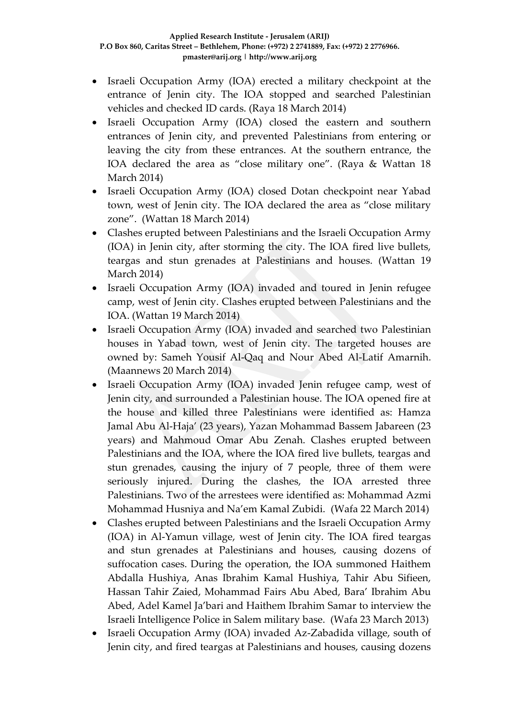- Israeli Occupation Army (IOA) erected a military checkpoint at the entrance of Jenin city. The IOA stopped and searched Palestinian vehicles and checked ID cards. (Raya 18 March 2014)
- Israeli Occupation Army (IOA) closed the eastern and southern entrances of Jenin city, and prevented Palestinians from entering or leaving the city from these entrances. At the southern entrance, the IOA declared the area as "close military one". (Raya & Wattan 18 March 2014)
- Israeli Occupation Army (IOA) closed Dotan checkpoint near Yabad town, west of Jenin city. The IOA declared the area as "close military zone". (Wattan 18 March 2014)
- Clashes erupted between Palestinians and the Israeli Occupation Army (IOA) in Jenin city, after storming the city. The IOA fired live bullets, teargas and stun grenades at Palestinians and houses. (Wattan 19 March 2014)
- Israeli Occupation Army (IOA) invaded and toured in Jenin refugee camp, west of Jenin city. Clashes erupted between Palestinians and the IOA. (Wattan 19 March 2014)
- Israeli Occupation Army (IOA) invaded and searched two Palestinian houses in Yabad town, west of Jenin city. The targeted houses are owned by: Sameh Yousif Al-Qaq and Nour Abed Al-Latif Amarnih. (Maannews 20 March 2014)
- Israeli Occupation Army (IOA) invaded Jenin refugee camp, west of Jenin city, and surrounded a Palestinian house. The IOA opened fire at the house and killed three Palestinians were identified as: Hamza Jamal Abu Al-Haja' (23 years), Yazan Mohammad Bassem Jabareen (23 years) and Mahmoud Omar Abu Zenah. Clashes erupted between Palestinians and the IOA, where the IOA fired live bullets, teargas and stun grenades, causing the injury of 7 people, three of them were seriously injured. During the clashes, the IOA arrested three Palestinians. Two of the arrestees were identified as: Mohammad Azmi Mohammad Husniya and Na'em Kamal Zubidi. (Wafa 22 March 2014)
- Clashes erupted between Palestinians and the Israeli Occupation Army (IOA) in Al-Yamun village, west of Jenin city. The IOA fired teargas and stun grenades at Palestinians and houses, causing dozens of suffocation cases. During the operation, the IOA summoned Haithem Abdalla Hushiya, Anas Ibrahim Kamal Hushiya, Tahir Abu Sifieen, Hassan Tahir Zaied, Mohammad Fairs Abu Abed, Bara' Ibrahim Abu Abed, Adel Kamel Ja'bari and Haithem Ibrahim Samar to interview the Israeli Intelligence Police in Salem military base. (Wafa 23 March 2013)
- Israeli Occupation Army (IOA) invaded Az-Zabadida village, south of Jenin city, and fired teargas at Palestinians and houses, causing dozens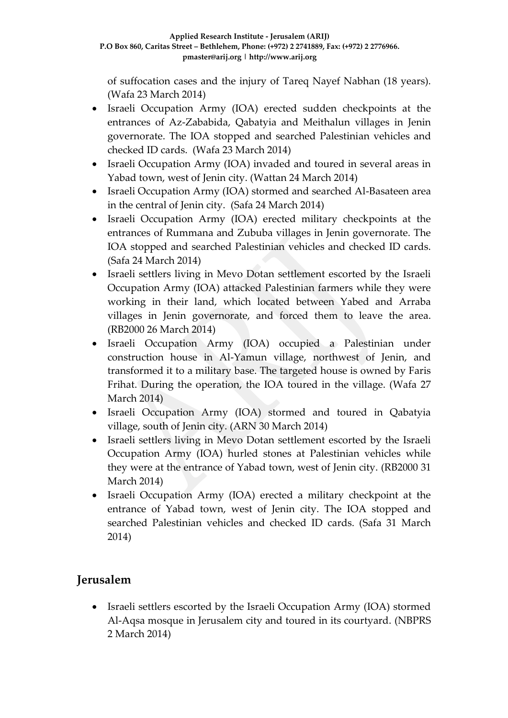of suffocation cases and the injury of Tareq Nayef Nabhan (18 years). (Wafa 23 March 2014)

- Israeli Occupation Army (IOA) erected sudden checkpoints at the entrances of Az-Zababida, Qabatyia and Meithalun villages in Jenin governorate. The IOA stopped and searched Palestinian vehicles and checked ID cards. (Wafa 23 March 2014)
- Israeli Occupation Army (IOA) invaded and toured in several areas in Yabad town, west of Jenin city. (Wattan 24 March 2014)
- Israeli Occupation Army (IOA) stormed and searched Al-Basateen area in the central of Jenin city. (Safa 24 March 2014)
- Israeli Occupation Army (IOA) erected military checkpoints at the entrances of Rummana and Zububa villages in Jenin governorate. The IOA stopped and searched Palestinian vehicles and checked ID cards. (Safa 24 March 2014)
- Israeli settlers living in Mevo Dotan settlement escorted by the Israeli Occupation Army (IOA) attacked Palestinian farmers while they were working in their land, which located between Yabed and Arraba villages in Jenin governorate, and forced them to leave the area. (RB2000 26 March 2014)
- Israeli Occupation Army (IOA) occupied a Palestinian under construction house in Al-Yamun village, northwest of Jenin, and transformed it to a military base. The targeted house is owned by Faris Frihat. During the operation, the IOA toured in the village. (Wafa 27 March 2014)
- Israeli Occupation Army (IOA) stormed and toured in Qabatyia village, south of Jenin city. (ARN 30 March 2014)
- Israeli settlers living in Mevo Dotan settlement escorted by the Israeli Occupation Army (IOA) hurled stones at Palestinian vehicles while they were at the entrance of Yabad town, west of Jenin city. (RB2000 31 March 2014)
- Israeli Occupation Army (IOA) erected a military checkpoint at the entrance of Yabad town, west of Jenin city. The IOA stopped and searched Palestinian vehicles and checked ID cards. (Safa 31 March 2014)

# **Jerusalem**

• Israeli settlers escorted by the Israeli Occupation Army (IOA) stormed Al-Aqsa mosque in Jerusalem city and toured in its courtyard. (NBPRS 2 March 2014)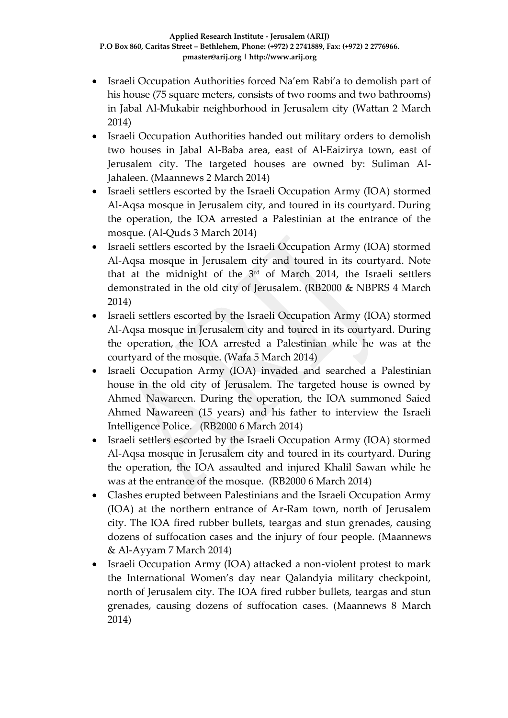- Israeli Occupation Authorities forced Na'em Rabi'a to demolish part of his house (75 square meters, consists of two rooms and two bathrooms) in Jabal Al-Mukabir neighborhood in Jerusalem city (Wattan 2 March 2014)
- Israeli Occupation Authorities handed out military orders to demolish two houses in Jabal Al-Baba area, east of Al-Eaizirya town, east of Jerusalem city. The targeted houses are owned by: Suliman Al-Jahaleen. (Maannews 2 March 2014)
- Israeli settlers escorted by the Israeli Occupation Army (IOA) stormed Al-Aqsa mosque in Jerusalem city, and toured in its courtyard. During the operation, the IOA arrested a Palestinian at the entrance of the mosque. (Al-Quds 3 March 2014)
- Israeli settlers escorted by the Israeli Occupation Army (IOA) stormed Al-Aqsa mosque in Jerusalem city and toured in its courtyard. Note that at the midnight of the 3rd of March 2014, the Israeli settlers demonstrated in the old city of Jerusalem. (RB2000 & NBPRS 4 March 2014)
- Israeli settlers escorted by the Israeli Occupation Army (IOA) stormed Al-Aqsa mosque in Jerusalem city and toured in its courtyard. During the operation, the IOA arrested a Palestinian while he was at the courtyard of the mosque. (Wafa 5 March 2014)
- Israeli Occupation Army (IOA) invaded and searched a Palestinian house in the old city of Jerusalem. The targeted house is owned by Ahmed Nawareen. During the operation, the IOA summoned Saied Ahmed Nawareen (15 years) and his father to interview the Israeli Intelligence Police. (RB2000 6 March 2014)
- Israeli settlers escorted by the Israeli Occupation Army (IOA) stormed Al-Aqsa mosque in Jerusalem city and toured in its courtyard. During the operation, the IOA assaulted and injured Khalil Sawan while he was at the entrance of the mosque. (RB2000 6 March 2014)
- Clashes erupted between Palestinians and the Israeli Occupation Army (IOA) at the northern entrance of Ar-Ram town, north of Jerusalem city. The IOA fired rubber bullets, teargas and stun grenades, causing dozens of suffocation cases and the injury of four people. (Maannews & Al-Ayyam 7 March 2014)
- Israeli Occupation Army (IOA) attacked a non-violent protest to mark the International Women's day near Qalandyia military checkpoint, north of Jerusalem city. The IOA fired rubber bullets, teargas and stun grenades, causing dozens of suffocation cases. (Maannews 8 March 2014)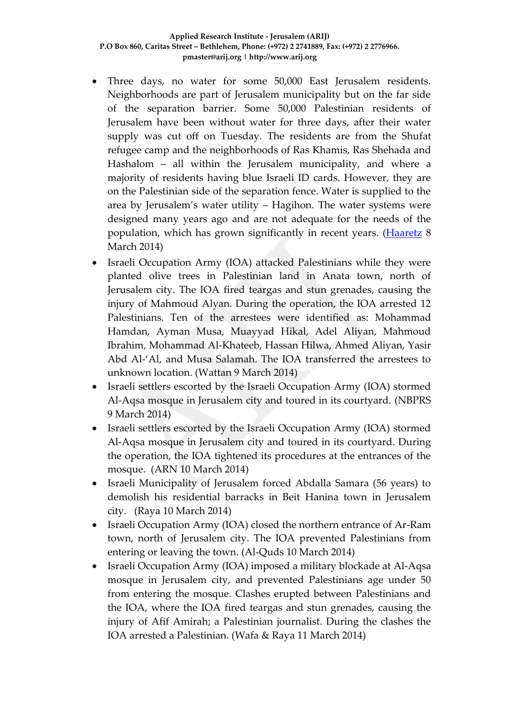- Three days, no water for some 50,000 East Jerusalem residents. Neighborhoods are part of Jerusalem municipality but on the far side of the separation barrier. Some 50,000 Palestinian residents of Jerusalem have been without water for three days, after their water supply was cut off on Tuesday. The residents are from the Shufat refugee camp and the neighborhoods of Ras Khamis, Ras Shehada and Hashalom – all within the Jerusalem municipality, and where a majority of residents having blue Israeli ID cards. However, they are on the Palestinian side of the separation fence. Water is supplied to the area by Jerusalem's water utility – Hagihon. The water systems were designed many years ago and are not adequate for the needs of the population, which has grown significantly in recent years. [\(Haaretz](http://www.haaretz.com/news/diplomacy-defense/1.578460) 8 March 2014)
- Israeli Occupation Army (IOA) attacked Palestinians while they were planted olive trees in Palestinian land in Anata town, north of Jerusalem city. The IOA fired teargas and stun grenades, causing the injury of Mahmoud Alyan. During the operation, the IOA arrested 12 Palestinians. Ten of the arrestees were identified as: Mohammad Hamdan, Ayman Musa, Muayyad Hikal, Adel Aliyan, Mahmoud Ibrahim, Mohammad Al-Khateeb, Hassan Hilwa, Ahmed Aliyan, Yasir Abd Al-'Al, and Musa Salamah. The IOA transferred the arrestees to unknown location. (Wattan 9 March 2014)
- Israeli settlers escorted by the Israeli Occupation Army (IOA) stormed Al-Aqsa mosque in Jerusalem city and toured in its courtyard. (NBPRS 9 March 2014)
- Israeli settlers escorted by the Israeli Occupation Army (IOA) stormed Al-Aqsa mosque in Jerusalem city and toured in its courtyard. During the operation, the IOA tightened its procedures at the entrances of the mosque. (ARN 10 March 2014)
- Israeli Municipality of Jerusalem forced Abdalla Samara (56 years) to demolish his residential barracks in Beit Hanina town in Jerusalem city. (Raya 10 March 2014)
- Israeli Occupation Army (IOA) closed the northern entrance of Ar-Ram town, north of Jerusalem city. The IOA prevented Palestinians from entering or leaving the town. (Al-Quds 10 March 2014)
- Israeli Occupation Army (IOA) imposed a military blockade at Al-Aqsa mosque in Jerusalem city, and prevented Palestinians age under 50 from entering the mosque. Clashes erupted between Palestinians and the IOA, where the IOA fired teargas and stun grenades, causing the injury of Afif Amirah; a Palestinian journalist. During the clashes the IOA arrested a Palestinian. (Wafa & Raya 11 March 2014)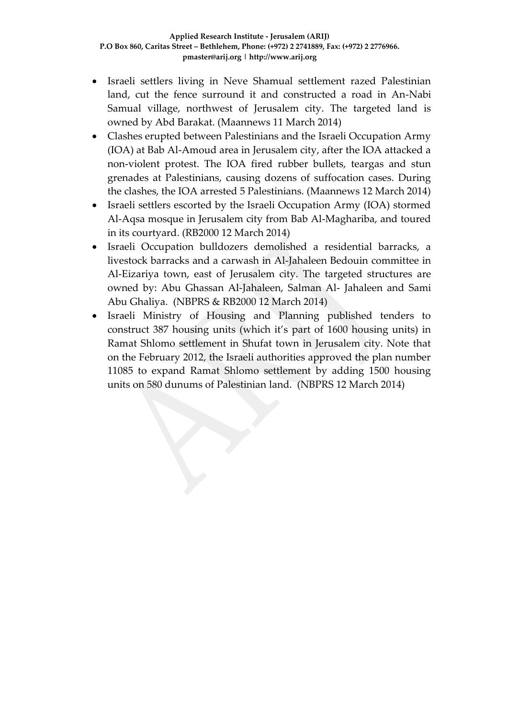- Israeli settlers living in Neve Shamual settlement razed Palestinian land, cut the fence surround it and constructed a road in An-Nabi Samual village, northwest of Jerusalem city. The targeted land is owned by Abd Barakat. (Maannews 11 March 2014)
- Clashes erupted between Palestinians and the Israeli Occupation Army (IOA) at Bab Al-Amoud area in Jerusalem city, after the IOA attacked a non-violent protest. The IOA fired rubber bullets, teargas and stun grenades at Palestinians, causing dozens of suffocation cases. During the clashes, the IOA arrested 5 Palestinians. (Maannews 12 March 2014)
- Israeli settlers escorted by the Israeli Occupation Army (IOA) stormed Al-Aqsa mosque in Jerusalem city from Bab Al-Maghariba, and toured in its courtyard. (RB2000 12 March 2014)
- Israeli Occupation bulldozers demolished a residential barracks, a livestock barracks and a carwash in Al-Jahaleen Bedouin committee in Al-Eizariya town, east of Jerusalem city. The targeted structures are owned by: Abu Ghassan Al-Jahaleen, Salman Al- Jahaleen and Sami Abu Ghaliya. (NBPRS & RB2000 12 March 2014)
- Israeli Ministry of Housing and Planning published tenders to construct 387 housing units (which it's part of 1600 housing units) in Ramat Shlomo settlement in Shufat town in Jerusalem city. Note that on the February 2012, the Israeli authorities approved the plan number 11085 to expand Ramat Shlomo settlement by adding 1500 housing units on 580 dunums of Palestinian land. (NBPRS 12 March 2014)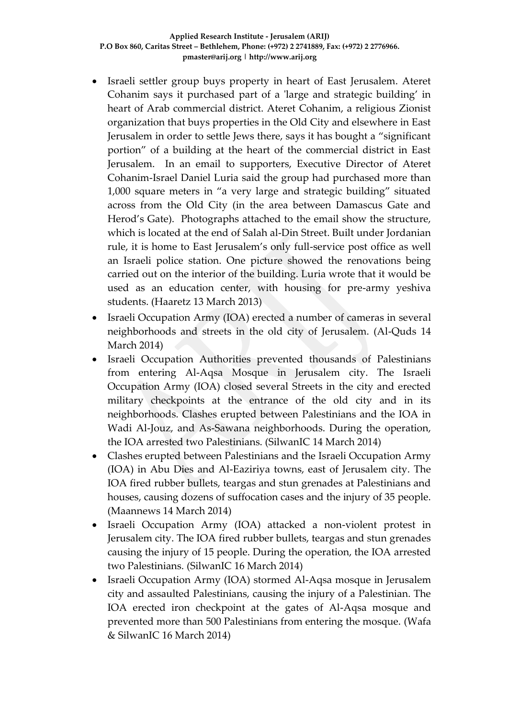- Israeli settler group buys property in heart of East Jerusalem. Ateret Cohanim says it purchased part of a 'large and strategic building' in heart of Arab commercial district. Ateret Cohanim, a religious Zionist organization that buys properties in the Old City and elsewhere in East Jerusalem in order to settle Jews there, says it has bought a "significant portion" of a building at the heart of the commercial district in East Jerusalem. In an email to supporters, Executive Director of Ateret Cohanim-Israel Daniel Luria said the group had purchased more than 1,000 square meters in "a very large and strategic building" situated across from the Old City (in the area between Damascus Gate and Herod's Gate). Photographs attached to the email show the structure, which is located at the end of Salah al-Din Street. Built under Jordanian rule, it is home to East Jerusalem's only full-service post office as well an Israeli police station. One picture showed the renovations being carried out on the interior of the building. Luria wrote that it would be used as an education center, with housing for pre-army yeshiva students. (Haaretz 13 March 2013)
- Israeli Occupation Army (IOA) erected a number of cameras in several neighborhoods and streets in the old city of Jerusalem. (Al-Quds 14 March 2014)
- Israeli Occupation Authorities prevented thousands of Palestinians from entering Al-Aqsa Mosque in Jerusalem city. The Israeli Occupation Army (IOA) closed several Streets in the city and erected military checkpoints at the entrance of the old city and in its neighborhoods. Clashes erupted between Palestinians and the IOA in Wadi Al-Jouz, and As-Sawana neighborhoods. During the operation, the IOA arrested two Palestinians. (SilwanIC 14 March 2014)
- Clashes erupted between Palestinians and the Israeli Occupation Army (IOA) in Abu Dies and Al-Eaziriya towns, east of Jerusalem city. The IOA fired rubber bullets, teargas and stun grenades at Palestinians and houses, causing dozens of suffocation cases and the injury of 35 people. (Maannews 14 March 2014)
- Israeli Occupation Army (IOA) attacked a non-violent protest in Jerusalem city. The IOA fired rubber bullets, teargas and stun grenades causing the injury of 15 people. During the operation, the IOA arrested two Palestinians. (SilwanIC 16 March 2014)
- Israeli Occupation Army (IOA) stormed Al-Aqsa mosque in Jerusalem city and assaulted Palestinians, causing the injury of a Palestinian. The IOA erected iron checkpoint at the gates of Al-Aqsa mosque and prevented more than 500 Palestinians from entering the mosque. (Wafa & SilwanIC 16 March 2014)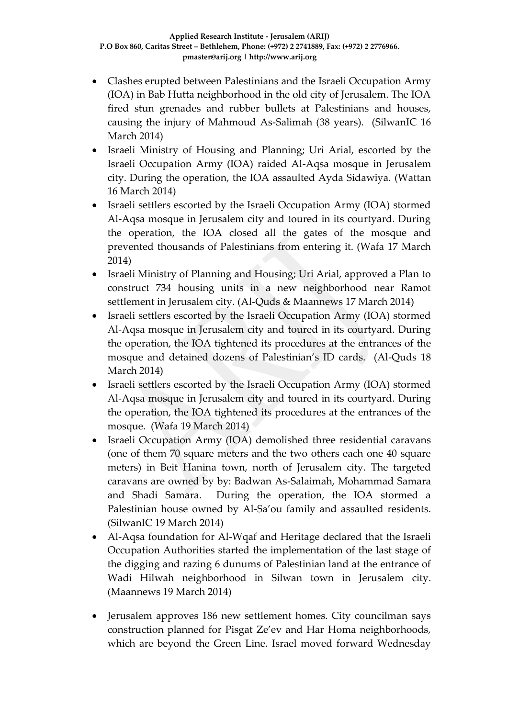- Clashes erupted between Palestinians and the Israeli Occupation Army (IOA) in Bab Hutta neighborhood in the old city of Jerusalem. The IOA fired stun grenades and rubber bullets at Palestinians and houses, causing the injury of Mahmoud As-Salimah (38 years). (SilwanIC 16 March 2014)
- Israeli Ministry of Housing and Planning; Uri Arial, escorted by the Israeli Occupation Army (IOA) raided Al-Aqsa mosque in Jerusalem city. During the operation, the IOA assaulted Ayda Sidawiya. (Wattan 16 March 2014)
- Israeli settlers escorted by the Israeli Occupation Army (IOA) stormed Al-Aqsa mosque in Jerusalem city and toured in its courtyard. During the operation, the IOA closed all the gates of the mosque and prevented thousands of Palestinians from entering it. (Wafa 17 March 2014)
- Israeli Ministry of Planning and Housing; Uri Arial, approved a Plan to construct 734 housing units in a new neighborhood near Ramot settlement in Jerusalem city. (Al-Quds & Maannews 17 March 2014)
- Israeli settlers escorted by the Israeli Occupation Army (IOA) stormed Al-Aqsa mosque in Jerusalem city and toured in its courtyard. During the operation, the IOA tightened its procedures at the entrances of the mosque and detained dozens of Palestinian's ID cards. (Al-Quds 18 March 2014)
- Israeli settlers escorted by the Israeli Occupation Army (IOA) stormed Al-Aqsa mosque in Jerusalem city and toured in its courtyard. During the operation, the IOA tightened its procedures at the entrances of the mosque. (Wafa 19 March 2014)
- Israeli Occupation Army (IOA) demolished three residential caravans (one of them 70 square meters and the two others each one 40 square meters) in Beit Hanina town, north of Jerusalem city. The targeted caravans are owned by by: Badwan As-Salaimah, Mohammad Samara and Shadi Samara. During the operation, the IOA stormed a Palestinian house owned by Al-Sa'ou family and assaulted residents. (SilwanIC 19 March 2014)
- Al-Aqsa foundation for Al-Wqaf and Heritage declared that the Israeli Occupation Authorities started the implementation of the last stage of the digging and razing 6 dunums of Palestinian land at the entrance of Wadi Hilwah neighborhood in Silwan town in Jerusalem city. (Maannews 19 March 2014)
- Jerusalem approves 186 new settlement homes. City councilman says construction planned for Pisgat Ze'ev and Har Homa neighborhoods, which are beyond the Green Line. Israel moved forward Wednesday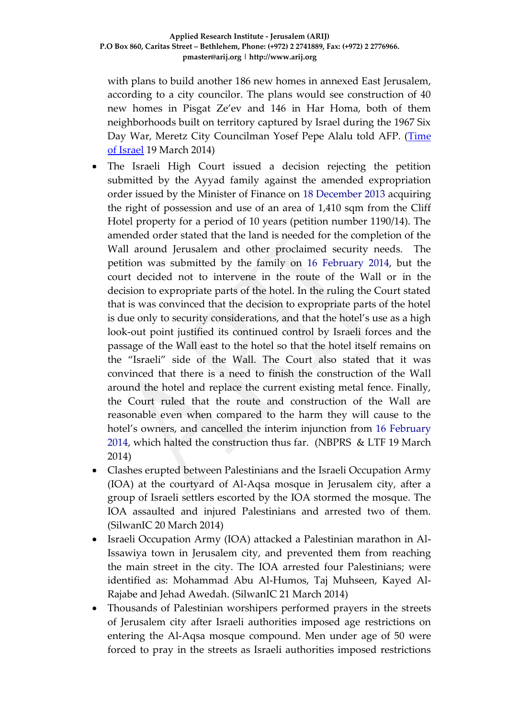with plans to build another 186 new homes in annexed East Jerusalem, according to a city councilor. The plans would see construction of 40 new homes in Pisgat Ze'ev and 146 in Har Homa, both of them neighborhoods built on territory captured by Israel during the 1967 Six Day War, Meretz City Councilman Yosef Pepe Alalu told AFP. [\(Time](http://www.timesofisrael.com/jerusalem-approves-186-new-settlement-homes/)  [of Israel](http://www.timesofisrael.com/jerusalem-approves-186-new-settlement-homes/) 19 March 2014)

- The Israeli High Court issued a decision rejecting the petition submitted by the Ayyad family against the amended expropriation order issued by the Minister of Finance on 18 December 2013 acquiring the right of possession and use of an area of 1,410 sqm from the Cliff Hotel property for a period of 10 years (petition number 1190/14). The amended order stated that the land is needed for the completion of the Wall around Jerusalem and other proclaimed security needs. The petition was submitted by the family on 16 February 2014, but the court decided not to intervene in the route of the Wall or in the decision to expropriate parts of the hotel. In the ruling the Court stated that is was convinced that the decision to expropriate parts of the hotel is due only to security considerations, and that the hotel's use as a high look-out point justified its continued control by Israeli forces and the passage of the Wall east to the hotel so that the hotel itself remains on the "Israeli" side of the Wall. The Court also stated that it was convinced that there is a need to finish the construction of the Wall around the hotel and replace the current existing metal fence. Finally, the Court ruled that the route and construction of the Wall are reasonable even when compared to the harm they will cause to the hotel's owners, and cancelled the interim injunction from 16 February 2014, which halted the construction thus far. (NBPRS & LTF 19 March 2014)
- Clashes erupted between Palestinians and the Israeli Occupation Army (IOA) at the courtyard of Al-Aqsa mosque in Jerusalem city, after a group of Israeli settlers escorted by the IOA stormed the mosque. The IOA assaulted and injured Palestinians and arrested two of them. (SilwanIC 20 March 2014)
- Israeli Occupation Army (IOA) attacked a Palestinian marathon in Al-Issawiya town in Jerusalem city, and prevented them from reaching the main street in the city. The IOA arrested four Palestinians; were identified as: Mohammad Abu Al-Humos, Taj Muhseen, Kayed Al-Rajabe and Jehad Awedah. (SilwanIC 21 March 2014)
- Thousands of Palestinian worshipers performed prayers in the streets of Jerusalem city after Israeli authorities imposed age restrictions on entering the Al-Aqsa mosque compound. Men under age of 50 were forced to pray in the streets as Israeli authorities imposed restrictions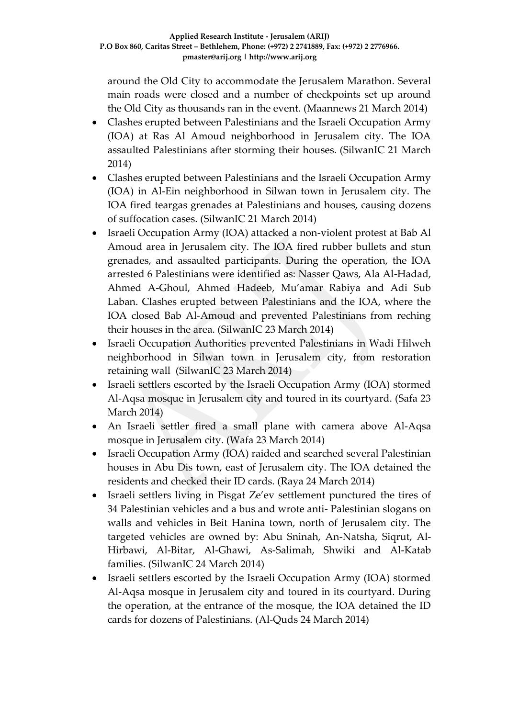around the Old City to accommodate the Jerusalem Marathon. Several main roads were closed and a number of checkpoints set up around the Old City as thousands ran in the event. (Maannews 21 March 2014)

- Clashes erupted between Palestinians and the Israeli Occupation Army (IOA) at Ras Al Amoud neighborhood in Jerusalem city. The IOA assaulted Palestinians after storming their houses. (SilwanIC 21 March 2014)
- Clashes erupted between Palestinians and the Israeli Occupation Army (IOA) in Al-Ein neighborhood in Silwan town in Jerusalem city. The IOA fired teargas grenades at Palestinians and houses, causing dozens of suffocation cases. (SilwanIC 21 March 2014)
- Israeli Occupation Army (IOA) attacked a non-violent protest at Bab Al Amoud area in Jerusalem city. The IOA fired rubber bullets and stun grenades, and assaulted participants. During the operation, the IOA arrested 6 Palestinians were identified as: Nasser Qaws, Ala Al-Hadad, Ahmed A-Ghoul, Ahmed Hadeeb, Mu'amar Rabiya and Adi Sub Laban. Clashes erupted between Palestinians and the IOA, where the IOA closed Bab Al-Amoud and prevented Palestinians from reching their houses in the area. (SilwanIC 23 March 2014)
- Israeli Occupation Authorities prevented Palestinians in Wadi Hilweh neighborhood in Silwan town in Jerusalem city, from restoration retaining wall (SilwanIC 23 March 2014)
- Israeli settlers escorted by the Israeli Occupation Army (IOA) stormed Al-Aqsa mosque in Jerusalem city and toured in its courtyard. (Safa 23 March 2014)
- An Israeli settler fired a small plane with camera above Al-Aqsa mosque in Jerusalem city. (Wafa 23 March 2014)
- Israeli Occupation Army (IOA) raided and searched several Palestinian houses in Abu Dis town, east of Jerusalem city. The IOA detained the residents and checked their ID cards. (Raya 24 March 2014)
- Israeli settlers living in Pisgat Ze'ev settlement punctured the tires of 34 Palestinian vehicles and a bus and wrote anti- Palestinian slogans on walls and vehicles in Beit Hanina town, north of Jerusalem city. The targeted vehicles are owned by: Abu Sninah, An-Natsha, Siqrut, Al-Hirbawi, Al-Bitar, Al-Ghawi, As-Salimah, Shwiki and Al-Katab families. (SilwanIC 24 March 2014)
- Israeli settlers escorted by the Israeli Occupation Army (IOA) stormed Al-Aqsa mosque in Jerusalem city and toured in its courtyard. During the operation, at the entrance of the mosque, the IOA detained the ID cards for dozens of Palestinians. (Al-Quds 24 March 2014)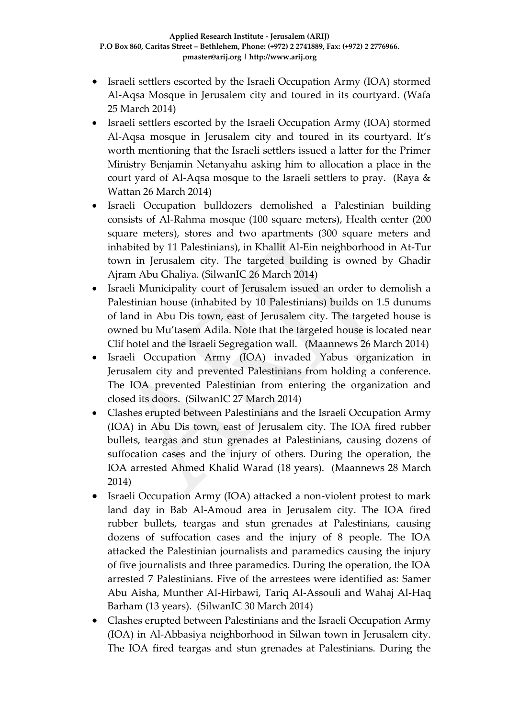- Israeli settlers escorted by the Israeli Occupation Army (IOA) stormed Al-Aqsa Mosque in Jerusalem city and toured in its courtyard. (Wafa 25 March 2014)
- Israeli settlers escorted by the Israeli Occupation Army (IOA) stormed Al-Aqsa mosque in Jerusalem city and toured in its courtyard. It's worth mentioning that the Israeli settlers issued a latter for the Primer Ministry Benjamin Netanyahu asking him to allocation a place in the court yard of Al-Aqsa mosque to the Israeli settlers to pray. (Raya & Wattan 26 March 2014)
- Israeli Occupation bulldozers demolished a Palestinian building consists of Al-Rahma mosque (100 square meters), Health center (200 square meters), stores and two apartments (300 square meters and inhabited by 11 Palestinians), in Khallit Al-Ein neighborhood in At-Tur town in Jerusalem city. The targeted building is owned by Ghadir Ajram Abu Ghaliya. (SilwanIC 26 March 2014)
- Israeli Municipality court of Jerusalem issued an order to demolish a Palestinian house (inhabited by 10 Palestinians) builds on 1.5 dunums of land in Abu Dis town, east of Jerusalem city. The targeted house is owned bu Mu'tasem Adila. Note that the targeted house is located near Clif hotel and the Israeli Segregation wall. (Maannews 26 March 2014)
- Israeli Occupation Army (IOA) invaded Yabus organization in Jerusalem city and prevented Palestinians from holding a conference. The IOA prevented Palestinian from entering the organization and closed its doors. (SilwanIC 27 March 2014)
- Clashes erupted between Palestinians and the Israeli Occupation Army (IOA) in Abu Dis town, east of Jerusalem city. The IOA fired rubber bullets, teargas and stun grenades at Palestinians, causing dozens of suffocation cases and the injury of others. During the operation, the IOA arrested Ahmed Khalid Warad (18 years). (Maannews 28 March 2014)
- Israeli Occupation Army (IOA) attacked a non-violent protest to mark land day in Bab Al-Amoud area in Jerusalem city. The IOA fired rubber bullets, teargas and stun grenades at Palestinians, causing dozens of suffocation cases and the injury of 8 people. The IOA attacked the Palestinian journalists and paramedics causing the injury of five journalists and three paramedics. During the operation, the IOA arrested 7 Palestinians. Five of the arrestees were identified as: Samer Abu Aisha, Munther Al-Hirbawi, Tariq Al-Assouli and Wahaj Al-Haq Barham (13 years). (SilwanIC 30 March 2014)
- Clashes erupted between Palestinians and the Israeli Occupation Army (IOA) in Al-Abbasiya neighborhood in Silwan town in Jerusalem city. The IOA fired teargas and stun grenades at Palestinians. During the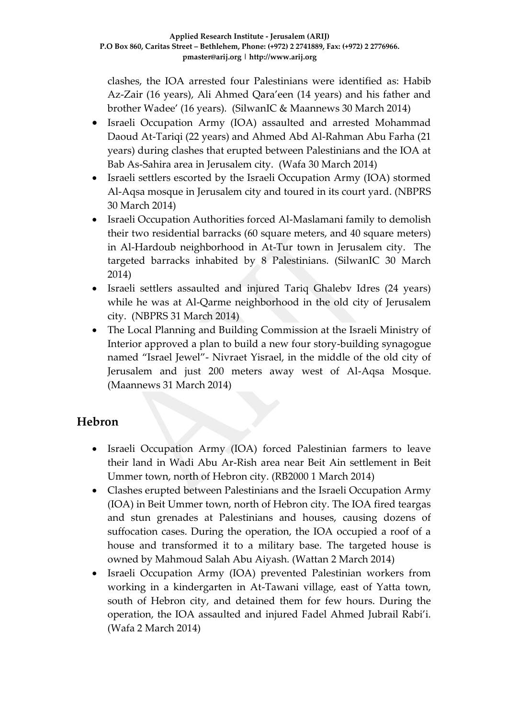clashes, the IOA arrested four Palestinians were identified as: Habib Az-Zair (16 years), Ali Ahmed Qara'een (14 years) and his father and brother Wadee' (16 years). (SilwanIC & Maannews 30 March 2014)

- Israeli Occupation Army (IOA) assaulted and arrested Mohammad Daoud At-Tariqi (22 years) and Ahmed Abd Al-Rahman Abu Farha (21 years) during clashes that erupted between Palestinians and the IOA at Bab As-Sahira area in Jerusalem city. (Wafa 30 March 2014)
- Israeli settlers escorted by the Israeli Occupation Army (IOA) stormed Al-Aqsa mosque in Jerusalem city and toured in its court yard. (NBPRS 30 March 2014)
- Israeli Occupation Authorities forced Al-Maslamani family to demolish their two residential barracks (60 square meters, and 40 square meters) in Al-Hardoub neighborhood in At-Tur town in Jerusalem city. The targeted barracks inhabited by 8 Palestinians. (SilwanIC 30 March 2014)
- Israeli settlers assaulted and injured Tariq Ghalebv Idres (24 years) while he was at Al-Qarme neighborhood in the old city of Jerusalem city. (NBPRS 31 March 2014)
- The Local Planning and Building Commission at the Israeli Ministry of Interior approved a plan to build a new four story-building synagogue named "Israel Jewel"- Nivraet Yisrael, in the middle of the old city of Jerusalem and just 200 meters away west of Al-Aqsa Mosque. (Maannews 31 March 2014)

### **Hebron**

- Israeli Occupation Army (IOA) forced Palestinian farmers to leave their land in Wadi Abu Ar-Rish area near Beit Ain settlement in Beit Ummer town, north of Hebron city. (RB2000 1 March 2014)
- Clashes erupted between Palestinians and the Israeli Occupation Army (IOA) in Beit Ummer town, north of Hebron city. The IOA fired teargas and stun grenades at Palestinians and houses, causing dozens of suffocation cases. During the operation, the IOA occupied a roof of a house and transformed it to a military base. The targeted house is owned by Mahmoud Salah Abu Aiyash. (Wattan 2 March 2014)
- Israeli Occupation Army (IOA) prevented Palestinian workers from working in a kindergarten in At-Tawani village, east of Yatta town, south of Hebron city, and detained them for few hours. During the operation, the IOA assaulted and injured Fadel Ahmed Jubrail Rabi'i. (Wafa 2 March 2014)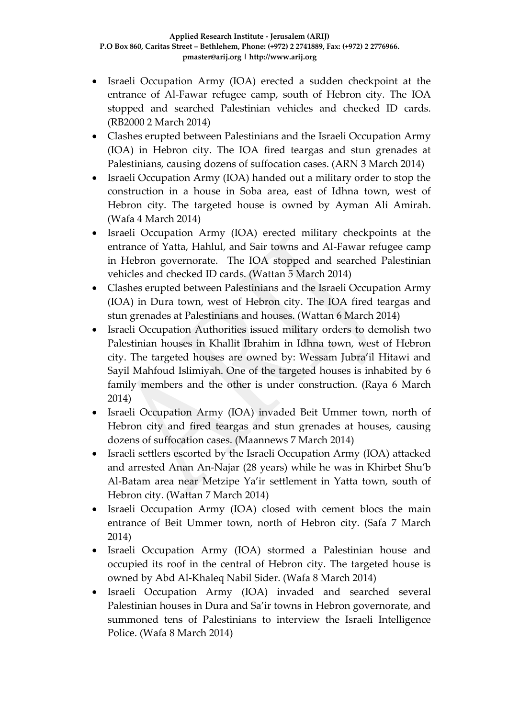- Israeli Occupation Army (IOA) erected a sudden checkpoint at the entrance of Al-Fawar refugee camp, south of Hebron city. The IOA stopped and searched Palestinian vehicles and checked ID cards. (RB2000 2 March 2014)
- Clashes erupted between Palestinians and the Israeli Occupation Army (IOA) in Hebron city. The IOA fired teargas and stun grenades at Palestinians, causing dozens of suffocation cases. (ARN 3 March 2014)
- Israeli Occupation Army (IOA) handed out a military order to stop the construction in a house in Soba area, east of Idhna town, west of Hebron city. The targeted house is owned by Ayman Ali Amirah. (Wafa 4 March 2014)
- Israeli Occupation Army (IOA) erected military checkpoints at the entrance of Yatta, Hahlul, and Sair towns and Al-Fawar refugee camp in Hebron governorate. The IOA stopped and searched Palestinian vehicles and checked ID cards. (Wattan 5 March 2014)
- Clashes erupted between Palestinians and the Israeli Occupation Army (IOA) in Dura town, west of Hebron city. The IOA fired teargas and stun grenades at Palestinians and houses. (Wattan 6 March 2014)
- Israeli Occupation Authorities issued military orders to demolish two Palestinian houses in Khallit Ibrahim in Idhna town, west of Hebron city. The targeted houses are owned by: Wessam Jubra'il Hitawi and Sayil Mahfoud Islimiyah. One of the targeted houses is inhabited by 6 family members and the other is under construction. (Raya 6 March 2014)
- Israeli Occupation Army (IOA) invaded Beit Ummer town, north of Hebron city and fired teargas and stun grenades at houses, causing dozens of suffocation cases. (Maannews 7 March 2014)
- Israeli settlers escorted by the Israeli Occupation Army (IOA) attacked and arrested Anan An-Najar (28 years) while he was in Khirbet Shu'b Al-Batam area near Metzipe Ya'ir settlement in Yatta town, south of Hebron city. (Wattan 7 March 2014)
- Israeli Occupation Army (IOA) closed with cement blocs the main entrance of Beit Ummer town, north of Hebron city. (Safa 7 March 2014)
- Israeli Occupation Army (IOA) stormed a Palestinian house and occupied its roof in the central of Hebron city. The targeted house is owned by Abd Al-Khaleq Nabil Sider. (Wafa 8 March 2014)
- Israeli Occupation Army (IOA) invaded and searched several Palestinian houses in Dura and Sa'ir towns in Hebron governorate, and summoned tens of Palestinians to interview the Israeli Intelligence Police. (Wafa 8 March 2014)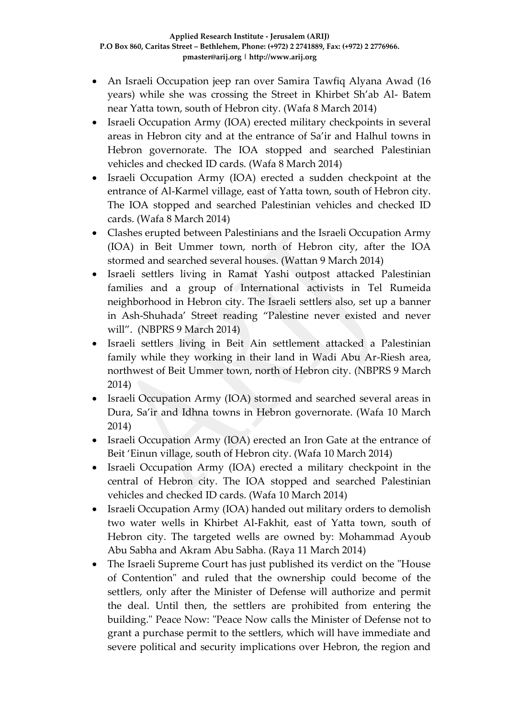- An Israeli Occupation jeep ran over Samira Tawfiq Alyana Awad (16 years) while she was crossing the Street in Khirbet Sh'ab Al- Batem near Yatta town, south of Hebron city. (Wafa 8 March 2014)
- Israeli Occupation Army (IOA) erected military checkpoints in several areas in Hebron city and at the entrance of Sa'ir and Halhul towns in Hebron governorate. The IOA stopped and searched Palestinian vehicles and checked ID cards. (Wafa 8 March 2014)
- Israeli Occupation Army (IOA) erected a sudden checkpoint at the entrance of Al-Karmel village, east of Yatta town, south of Hebron city. The IOA stopped and searched Palestinian vehicles and checked ID cards. (Wafa 8 March 2014)
- Clashes erupted between Palestinians and the Israeli Occupation Army (IOA) in Beit Ummer town, north of Hebron city, after the IOA stormed and searched several houses. (Wattan 9 March 2014)
- Israeli settlers living in Ramat Yashi outpost attacked Palestinian families and a group of International activists in Tel Rumeida neighborhood in Hebron city. The Israeli settlers also, set up a banner in Ash-Shuhada' Street reading "Palestine never existed and never will". (NBPRS 9 March 2014)
- Israeli settlers living in Beit Ain settlement attacked a Palestinian family while they working in their land in Wadi Abu Ar-Riesh area, northwest of Beit Ummer town, north of Hebron city. (NBPRS 9 March 2014)
- Israeli Occupation Army (IOA) stormed and searched several areas in Dura, Sa'ir and Idhna towns in Hebron governorate. (Wafa 10 March 2014)
- Israeli Occupation Army (IOA) erected an Iron Gate at the entrance of Beit 'Einun village, south of Hebron city. (Wafa 10 March 2014)
- Israeli Occupation Army (IOA) erected a military checkpoint in the central of Hebron city. The IOA stopped and searched Palestinian vehicles and checked ID cards. (Wafa 10 March 2014)
- Israeli Occupation Army (IOA) handed out military orders to demolish two water wells in Khirbet Al-Fakhit, east of Yatta town, south of Hebron city. The targeted wells are owned by: Mohammad Ayoub Abu Sabha and Akram Abu Sabha. (Raya 11 March 2014)
- The Israeli Supreme Court has just published its verdict on the "House of Contention" and ruled that the ownership could become of the settlers, only after the Minister of Defense will authorize and permit the deal. Until then, the settlers are prohibited from entering the building." Peace Now: "Peace Now calls the Minister of Defense not to grant a purchase permit to the settlers, which will have immediate and severe political and security implications over Hebron, the region and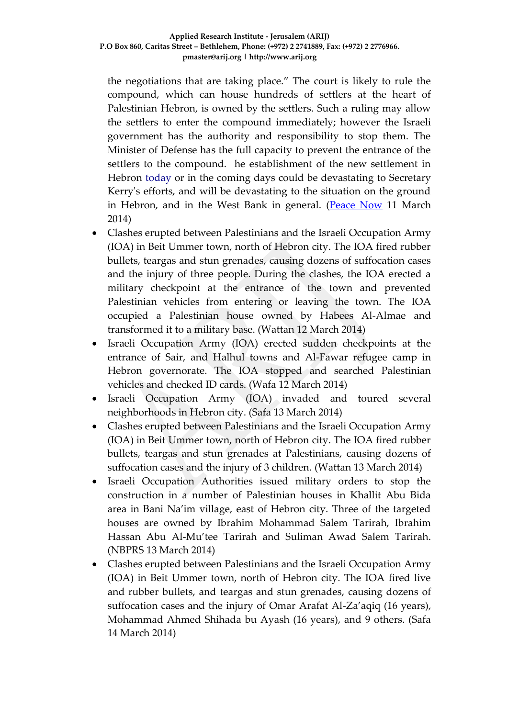the negotiations that are taking place." The court is likely to rule the compound, which can house hundreds of settlers at the heart of Palestinian Hebron, is owned by the settlers. Such a ruling may allow the settlers to enter the compound immediately; however the Israeli government has the authority and responsibility to stop them. The Minister of Defense has the full capacity to prevent the entrance of the settlers to the compound. he establishment of the new settlement in Hebron today or in the coming days could be devastating to Secretary Kerry's efforts, and will be devastating to the situation on the ground in Hebron, and in the West Bank in general. [\(Peace Now](http://settlementwatcheastjerusalem.wordpress.com/2013/09/30/houseofcontention_hebron/?utm_source=activetrail&utm_medium=email&utm_campaign=NGO%20Position%20Paper%20Presser) 11 March 2014)

- Clashes erupted between Palestinians and the Israeli Occupation Army (IOA) in Beit Ummer town, north of Hebron city. The IOA fired rubber bullets, teargas and stun grenades, causing dozens of suffocation cases and the injury of three people. During the clashes, the IOA erected a military checkpoint at the entrance of the town and prevented Palestinian vehicles from entering or leaving the town. The IOA occupied a Palestinian house owned by Habees Al-Almae and transformed it to a military base. (Wattan 12 March 2014)
- Israeli Occupation Army (IOA) erected sudden checkpoints at the entrance of Sair, and Halhul towns and Al-Fawar refugee camp in Hebron governorate. The IOA stopped and searched Palestinian vehicles and checked ID cards. (Wafa 12 March 2014)
- Israeli Occupation Army (IOA) invaded and toured several neighborhoods in Hebron city. (Safa 13 March 2014)
- Clashes erupted between Palestinians and the Israeli Occupation Army (IOA) in Beit Ummer town, north of Hebron city. The IOA fired rubber bullets, teargas and stun grenades at Palestinians, causing dozens of suffocation cases and the injury of 3 children. (Wattan 13 March 2014)
- Israeli Occupation Authorities issued military orders to stop the construction in a number of Palestinian houses in Khallit Abu Bida area in Bani Na'im village, east of Hebron city. Three of the targeted houses are owned by Ibrahim Mohammad Salem Tarirah, Ibrahim Hassan Abu Al-Mu'tee Tarirah and Suliman Awad Salem Tarirah. (NBPRS 13 March 2014)
- Clashes erupted between Palestinians and the Israeli Occupation Army (IOA) in Beit Ummer town, north of Hebron city. The IOA fired live and rubber bullets, and teargas and stun grenades, causing dozens of suffocation cases and the injury of Omar Arafat Al-Za'aqiq (16 years), Mohammad Ahmed Shihada bu Ayash (16 years), and 9 others. (Safa 14 March 2014)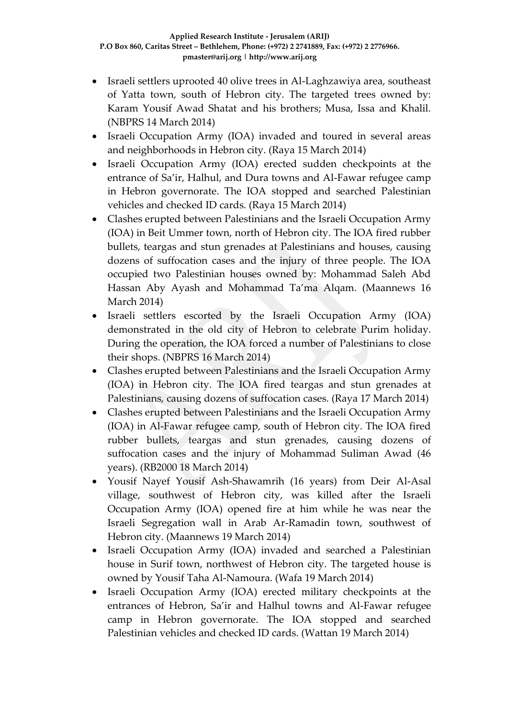- Israeli settlers uprooted 40 olive trees in Al-Laghzawiya area, southeast of Yatta town, south of Hebron city. The targeted trees owned by: Karam Yousif Awad Shatat and his brothers; Musa, Issa and Khalil. (NBPRS 14 March 2014)
- Israeli Occupation Army (IOA) invaded and toured in several areas and neighborhoods in Hebron city. (Raya 15 March 2014)
- Israeli Occupation Army (IOA) erected sudden checkpoints at the entrance of Sa'ir, Halhul, and Dura towns and Al-Fawar refugee camp in Hebron governorate. The IOA stopped and searched Palestinian vehicles and checked ID cards. (Raya 15 March 2014)
- Clashes erupted between Palestinians and the Israeli Occupation Army (IOA) in Beit Ummer town, north of Hebron city. The IOA fired rubber bullets, teargas and stun grenades at Palestinians and houses, causing dozens of suffocation cases and the injury of three people. The IOA occupied two Palestinian houses owned by: Mohammad Saleh Abd Hassan Aby Ayash and Mohammad Ta'ma Alqam. (Maannews 16 March 2014)
- Israeli settlers escorted by the Israeli Occupation Army (IOA) demonstrated in the old city of Hebron to celebrate Purim holiday. During the operation, the IOA forced a number of Palestinians to close their shops. (NBPRS 16 March 2014)
- Clashes erupted between Palestinians and the Israeli Occupation Army (IOA) in Hebron city. The IOA fired teargas and stun grenades at Palestinians, causing dozens of suffocation cases. (Raya 17 March 2014)
- Clashes erupted between Palestinians and the Israeli Occupation Army (IOA) in Al-Fawar refugee camp, south of Hebron city. The IOA fired rubber bullets, teargas and stun grenades, causing dozens of suffocation cases and the injury of Mohammad Suliman Awad (46 years). (RB2000 18 March 2014)
- Yousif Nayef Yousif Ash-Shawamrih (16 years) from Deir Al-Asal village, southwest of Hebron city, was killed after the Israeli Occupation Army (IOA) opened fire at him while he was near the Israeli Segregation wall in Arab Ar-Ramadin town, southwest of Hebron city. (Maannews 19 March 2014)
- Israeli Occupation Army (IOA) invaded and searched a Palestinian house in Surif town, northwest of Hebron city. The targeted house is owned by Yousif Taha Al-Namoura. (Wafa 19 March 2014)
- Israeli Occupation Army (IOA) erected military checkpoints at the entrances of Hebron, Sa'ir and Halhul towns and Al-Fawar refugee camp in Hebron governorate. The IOA stopped and searched Palestinian vehicles and checked ID cards. (Wattan 19 March 2014)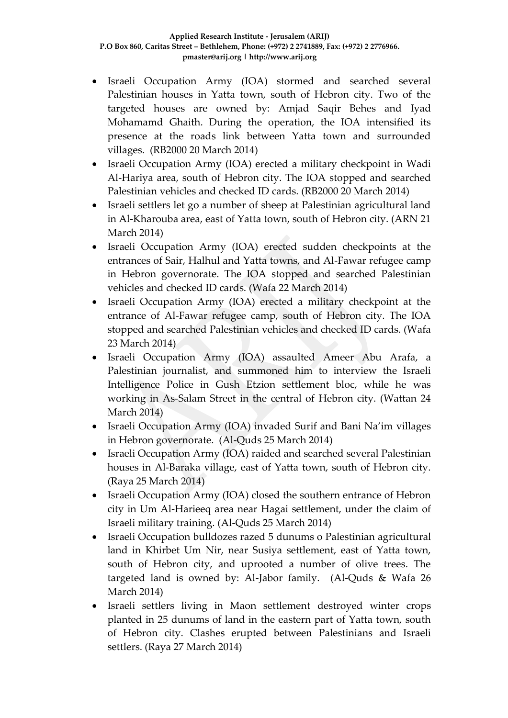- Israeli Occupation Army (IOA) stormed and searched several Palestinian houses in Yatta town, south of Hebron city. Two of the targeted houses are owned by: Amjad Saqir Behes and Iyad Mohamamd Ghaith. During the operation, the IOA intensified its presence at the roads link between Yatta town and surrounded villages. (RB2000 20 March 2014)
- Israeli Occupation Army (IOA) erected a military checkpoint in Wadi Al-Hariya area, south of Hebron city. The IOA stopped and searched Palestinian vehicles and checked ID cards. (RB2000 20 March 2014)
- Israeli settlers let go a number of sheep at Palestinian agricultural land in Al-Kharouba area, east of Yatta town, south of Hebron city. (ARN 21 March 2014)
- Israeli Occupation Army (IOA) erected sudden checkpoints at the entrances of Sair, Halhul and Yatta towns, and Al-Fawar refugee camp in Hebron governorate. The IOA stopped and searched Palestinian vehicles and checked ID cards. (Wafa 22 March 2014)
- Israeli Occupation Army (IOA) erected a military checkpoint at the entrance of Al-Fawar refugee camp, south of Hebron city. The IOA stopped and searched Palestinian vehicles and checked ID cards. (Wafa 23 March 2014)
- Israeli Occupation Army (IOA) assaulted Ameer Abu Arafa, a Palestinian journalist, and summoned him to interview the Israeli Intelligence Police in Gush Etzion settlement bloc, while he was working in As-Salam Street in the central of Hebron city. (Wattan 24 March 2014)
- Israeli Occupation Army (IOA) invaded Surif and Bani Na'im villages in Hebron governorate. (Al-Quds 25 March 2014)
- Israeli Occupation Army (IOA) raided and searched several Palestinian houses in Al-Baraka village, east of Yatta town, south of Hebron city. (Raya 25 March 2014)
- Israeli Occupation Army (IOA) closed the southern entrance of Hebron city in Um Al-Harieeq area near Hagai settlement, under the claim of Israeli military training. (Al-Quds 25 March 2014)
- Israeli Occupation bulldozes razed 5 dunums o Palestinian agricultural land in Khirbet Um Nir, near Susiya settlement, east of Yatta town, south of Hebron city, and uprooted a number of olive trees. The targeted land is owned by: Al-Jabor family. (Al-Quds & Wafa 26 March 2014)
- Israeli settlers living in Maon settlement destroyed winter crops planted in 25 dunums of land in the eastern part of Yatta town, south of Hebron city. Clashes erupted between Palestinians and Israeli settlers. (Raya 27 March 2014)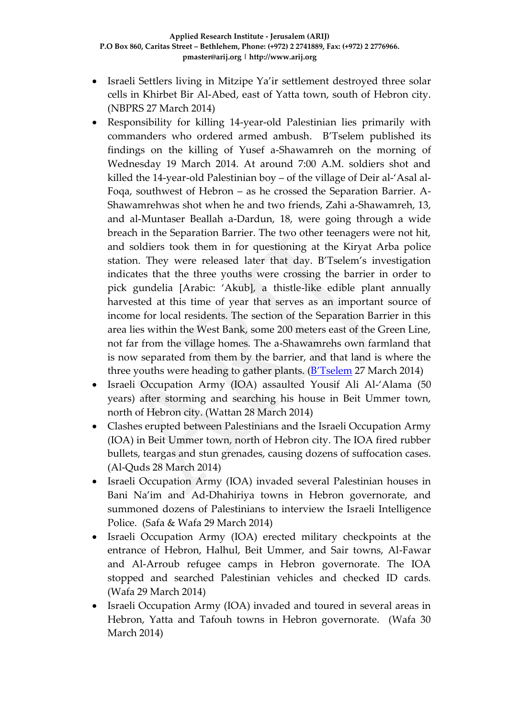- Israeli Settlers living in Mitzipe Ya'ir settlement destroyed three solar cells in Khirbet Bir Al-Abed, east of Yatta town, south of Hebron city. (NBPRS 27 March 2014)
- Responsibility for killing 14-year-old Palestinian lies primarily with commanders who ordered armed ambush. B'Tselem published its findings on the killing of Yusef a-Shawamreh on the morning of Wednesday 19 March 2014. At around 7:00 A.M. soldiers shot and killed the 14-year-old Palestinian boy – of the village of Deir al-'Asal al-Foqa, southwest of Hebron – as he crossed the Separation Barrier. A-Shawamrehwas shot when he and two friends, Zahi a-Shawamreh, 13, and al-Muntaser Beallah a-Dardun, 18, were going through a wide breach in the Separation Barrier. The two other teenagers were not hit, and soldiers took them in for questioning at the Kiryat Arba police station. They were released later that day. B'Tselem's investigation indicates that the three youths were crossing the barrier in order to pick gundelia [Arabic: 'Akub], a thistle-like edible plant annually harvested at this time of year that serves as an important source of income for local residents. The section of the Separation Barrier in this area lies within the West Bank, some 200 meters east of the Green Line, not far from the village homes. The a-Shawamrehs own farmland that is now separated from them by the barrier, and that land is where the three youths were heading to gather plants.  $(B'Tselem 27 March 2014)$  $(B'Tselem 27 March 2014)$  $(B'Tselem 27 March 2014)$
- Israeli Occupation Army (IOA) assaulted Yousif Ali Al-'Alama (50 years) after storming and searching his house in Beit Ummer town, north of Hebron city. (Wattan 28 March 2014)
- Clashes erupted between Palestinians and the Israeli Occupation Army (IOA) in Beit Ummer town, north of Hebron city. The IOA fired rubber bullets, teargas and stun grenades, causing dozens of suffocation cases. (Al-Quds 28 March 2014)
- Israeli Occupation Army (IOA) invaded several Palestinian houses in Bani Na'im and Ad-Dhahiriya towns in Hebron governorate, and summoned dozens of Palestinians to interview the Israeli Intelligence Police. (Safa & Wafa 29 March 2014)
- Israeli Occupation Army (IOA) erected military checkpoints at the entrance of Hebron, Halhul, Beit Ummer, and Sair towns, Al-Fawar and Al-Arroub refugee camps in Hebron governorate. The IOA stopped and searched Palestinian vehicles and checked ID cards. (Wafa 29 March 2014)
- Israeli Occupation Army (IOA) invaded and toured in several areas in Hebron, Yatta and Tafouh towns in Hebron governorate. (Wafa 30 March 2014)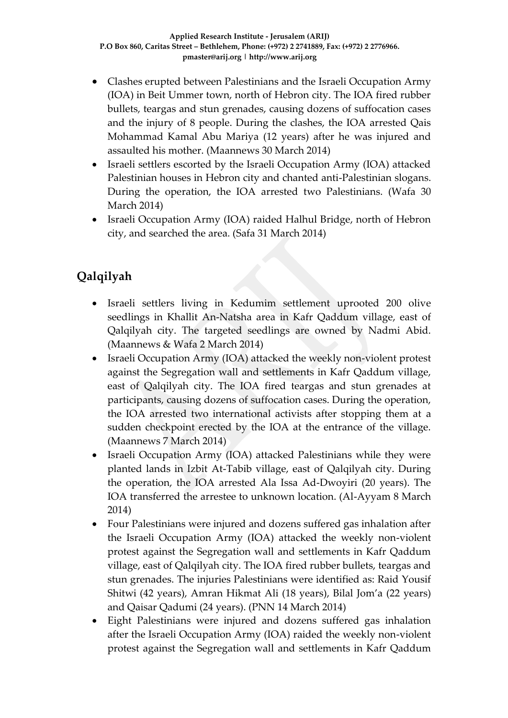- Clashes erupted between Palestinians and the Israeli Occupation Army (IOA) in Beit Ummer town, north of Hebron city. The IOA fired rubber bullets, teargas and stun grenades, causing dozens of suffocation cases and the injury of 8 people. During the clashes, the IOA arrested Qais Mohammad Kamal Abu Mariya (12 years) after he was injured and assaulted his mother. (Maannews 30 March 2014)
- Israeli settlers escorted by the Israeli Occupation Army (IOA) attacked Palestinian houses in Hebron city and chanted anti-Palestinian slogans. During the operation, the IOA arrested two Palestinians. (Wafa 30 March 2014)
- Israeli Occupation Army (IOA) raided Halhul Bridge, north of Hebron city, and searched the area. (Safa 31 March 2014)

# **Qalqilyah**

- Israeli settlers living in Kedumim settlement uprooted 200 olive seedlings in Khallit An-Natsha area in Kafr Qaddum village, east of Qalqilyah city. The targeted seedlings are owned by Nadmi Abid. (Maannews & Wafa 2 March 2014)
- Israeli Occupation Army (IOA) attacked the weekly non-violent protest against the Segregation wall and settlements in Kafr Qaddum village, east of Qalqilyah city. The IOA fired teargas and stun grenades at participants, causing dozens of suffocation cases. During the operation, the IOA arrested two international activists after stopping them at a sudden checkpoint erected by the IOA at the entrance of the village. (Maannews 7 March 2014)
- Israeli Occupation Army (IOA) attacked Palestinians while they were planted lands in Izbit At-Tabib village, east of Qalqilyah city. During the operation, the IOA arrested Ala Issa Ad-Dwoyiri (20 years). The IOA transferred the arrestee to unknown location. (Al-Ayyam 8 March 2014)
- Four Palestinians were injured and dozens suffered gas inhalation after the Israeli Occupation Army (IOA) attacked the weekly non-violent protest against the Segregation wall and settlements in Kafr Qaddum village, east of Qalqilyah city. The IOA fired rubber bullets, teargas and stun grenades. The injuries Palestinians were identified as: Raid Yousif Shitwi (42 years), Amran Hikmat Ali (18 years), Bilal Jom'a (22 years) and Qaisar Qadumi (24 years). (PNN 14 March 2014)
- Eight Palestinians were injured and dozens suffered gas inhalation after the Israeli Occupation Army (IOA) raided the weekly non-violent protest against the Segregation wall and settlements in Kafr Qaddum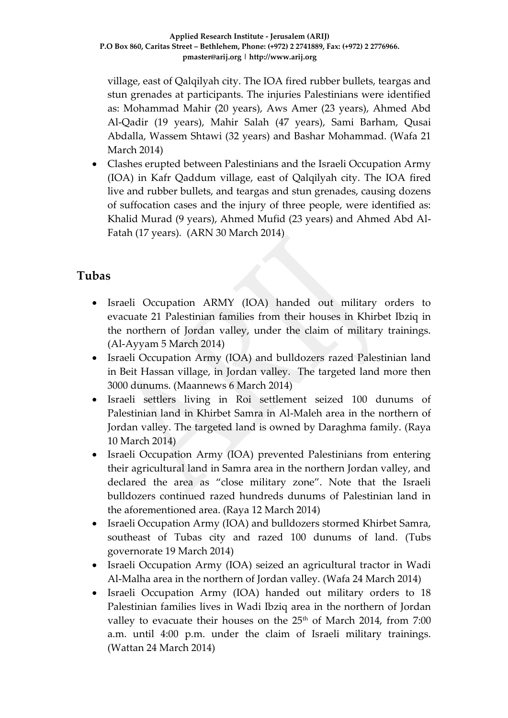village, east of Qalqilyah city. The IOA fired rubber bullets, teargas and stun grenades at participants. The injuries Palestinians were identified as: Mohammad Mahir (20 years), Aws Amer (23 years), Ahmed Abd Al-Qadir (19 years), Mahir Salah (47 years), Sami Barham, Qusai Abdalla, Wassem Shtawi (32 years) and Bashar Mohammad. (Wafa 21 March 2014)

 Clashes erupted between Palestinians and the Israeli Occupation Army (IOA) in Kafr Qaddum village, east of Qalqilyah city. The IOA fired live and rubber bullets, and teargas and stun grenades, causing dozens of suffocation cases and the injury of three people, were identified as: Khalid Murad (9 years), Ahmed Mufid (23 years) and Ahmed Abd Al-Fatah (17 years). (ARN 30 March 2014)

### **Tubas**

- Israeli Occupation ARMY (IOA) handed out military orders to evacuate 21 Palestinian families from their houses in Khirbet Ibziq in the northern of Jordan valley, under the claim of military trainings. (Al-Ayyam 5 March 2014)
- Israeli Occupation Army (IOA) and bulldozers razed Palestinian land in Beit Hassan village, in Jordan valley. The targeted land more then 3000 dunums. (Maannews 6 March 2014)
- Israeli settlers living in Roi settlement seized 100 dunums of Palestinian land in Khirbet Samra in Al-Maleh area in the northern of Jordan valley. The targeted land is owned by Daraghma family. (Raya 10 March 2014)
- Israeli Occupation Army (IOA) prevented Palestinians from entering their agricultural land in Samra area in the northern Jordan valley, and declared the area as "close military zone". Note that the Israeli bulldozers continued razed hundreds dunums of Palestinian land in the aforementioned area. (Raya 12 March 2014)
- Israeli Occupation Army (IOA) and bulldozers stormed Khirbet Samra, southeast of Tubas city and razed 100 dunums of land. (Tubs governorate 19 March 2014)
- Israeli Occupation Army (IOA) seized an agricultural tractor in Wadi Al-Malha area in the northern of Jordan valley. (Wafa 24 March 2014)
- Israeli Occupation Army (IOA) handed out military orders to 18 Palestinian families lives in Wadi Ibziq area in the northern of Jordan valley to evacuate their houses on the 25<sup>th</sup> of March 2014, from 7:00 a.m. until 4:00 p.m. under the claim of Israeli military trainings. (Wattan 24 March 2014)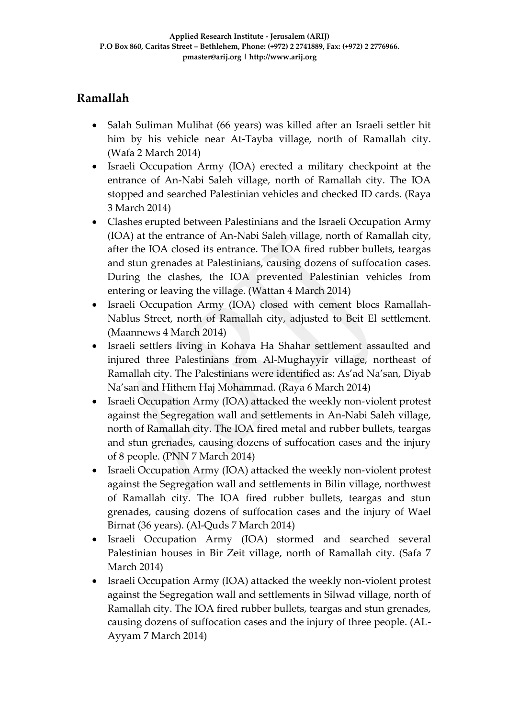### **Ramallah**

- Salah Suliman Mulihat (66 years) was killed after an Israeli settler hit him by his vehicle near At-Tayba village, north of Ramallah city. (Wafa 2 March 2014)
- Israeli Occupation Army (IOA) erected a military checkpoint at the entrance of An-Nabi Saleh village, north of Ramallah city. The IOA stopped and searched Palestinian vehicles and checked ID cards. (Raya 3 March 2014)
- Clashes erupted between Palestinians and the Israeli Occupation Army (IOA) at the entrance of An-Nabi Saleh village, north of Ramallah city, after the IOA closed its entrance. The IOA fired rubber bullets, teargas and stun grenades at Palestinians, causing dozens of suffocation cases. During the clashes, the IOA prevented Palestinian vehicles from entering or leaving the village. (Wattan 4 March 2014)
- Israeli Occupation Army (IOA) closed with cement blocs Ramallah-Nablus Street, north of Ramallah city, adjusted to Beit El settlement. (Maannews 4 March 2014)
- Israeli settlers living in Kohava Ha Shahar settlement assaulted and injured three Palestinians from Al-Mughayyir village, northeast of Ramallah city. The Palestinians were identified as: As'ad Na'san, Diyab Na'san and Hithem Haj Mohammad. (Raya 6 March 2014)
- Israeli Occupation Army (IOA) attacked the weekly non-violent protest against the Segregation wall and settlements in An-Nabi Saleh village, north of Ramallah city. The IOA fired metal and rubber bullets, teargas and stun grenades, causing dozens of suffocation cases and the injury of 8 people. (PNN 7 March 2014)
- Israeli Occupation Army (IOA) attacked the weekly non-violent protest against the Segregation wall and settlements in Bilin village, northwest of Ramallah city. The IOA fired rubber bullets, teargas and stun grenades, causing dozens of suffocation cases and the injury of Wael Birnat (36 years). (Al-Quds 7 March 2014)
- Israeli Occupation Army (IOA) stormed and searched several Palestinian houses in Bir Zeit village, north of Ramallah city. (Safa 7 March 2014)
- Israeli Occupation Army (IOA) attacked the weekly non-violent protest against the Segregation wall and settlements in Silwad village, north of Ramallah city. The IOA fired rubber bullets, teargas and stun grenades, causing dozens of suffocation cases and the injury of three people. (AL-Ayyam 7 March 2014)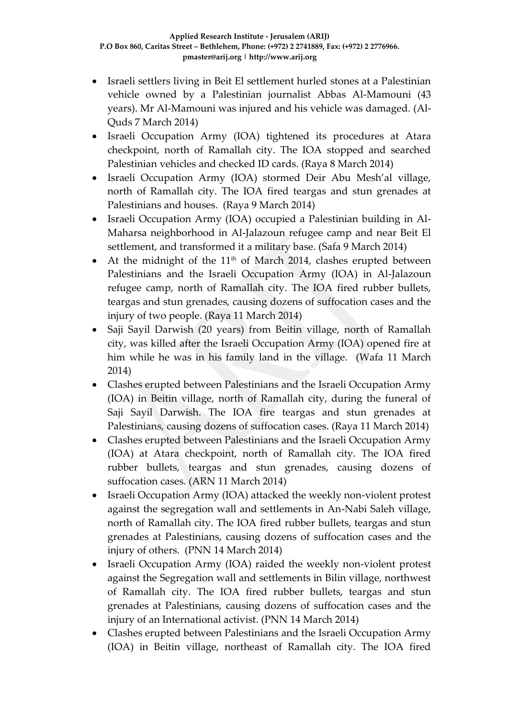- Israeli settlers living in Beit El settlement hurled stones at a Palestinian vehicle owned by a Palestinian journalist Abbas Al-Mamouni (43 years). Mr Al-Mamouni was injured and his vehicle was damaged. (Al-Quds 7 March 2014)
- Israeli Occupation Army (IOA) tightened its procedures at Atara checkpoint, north of Ramallah city. The IOA stopped and searched Palestinian vehicles and checked ID cards. (Raya 8 March 2014)
- Israeli Occupation Army (IOA) stormed Deir Abu Mesh'al village, north of Ramallah city. The IOA fired teargas and stun grenades at Palestinians and houses. (Raya 9 March 2014)
- Israeli Occupation Army (IOA) occupied a Palestinian building in Al-Maharsa neighborhood in Al-Jalazoun refugee camp and near Beit El settlement, and transformed it a military base. (Safa 9 March 2014)
- $\bullet$  At the midnight of the 11<sup>th</sup> of March 2014, clashes erupted between Palestinians and the Israeli Occupation Army (IOA) in Al-Jalazoun refugee camp, north of Ramallah city. The IOA fired rubber bullets, teargas and stun grenades, causing dozens of suffocation cases and the injury of two people. (Raya 11 March 2014)
- Saji Sayil Darwish (20 years) from Beitin village, north of Ramallah city, was killed after the Israeli Occupation Army (IOA) opened fire at him while he was in his family land in the village. (Wafa 11 March 2014)
- Clashes erupted between Palestinians and the Israeli Occupation Army (IOA) in Beitin village, north of Ramallah city, during the funeral of Saji Sayil Darwish. The IOA fire teargas and stun grenades at Palestinians, causing dozens of suffocation cases. (Raya 11 March 2014)
- Clashes erupted between Palestinians and the Israeli Occupation Army (IOA) at Atara checkpoint, north of Ramallah city. The IOA fired rubber bullets, teargas and stun grenades, causing dozens of suffocation cases. (ARN 11 March 2014)
- Israeli Occupation Army (IOA) attacked the weekly non-violent protest against the segregation wall and settlements in An-Nabi Saleh village, north of Ramallah city. The IOA fired rubber bullets, teargas and stun grenades at Palestinians, causing dozens of suffocation cases and the injury of others. (PNN 14 March 2014)
- Israeli Occupation Army (IOA) raided the weekly non-violent protest against the Segregation wall and settlements in Bilin village, northwest of Ramallah city. The IOA fired rubber bullets, teargas and stun grenades at Palestinians, causing dozens of suffocation cases and the injury of an International activist. (PNN 14 March 2014)
- Clashes erupted between Palestinians and the Israeli Occupation Army (IOA) in Beitin village, northeast of Ramallah city. The IOA fired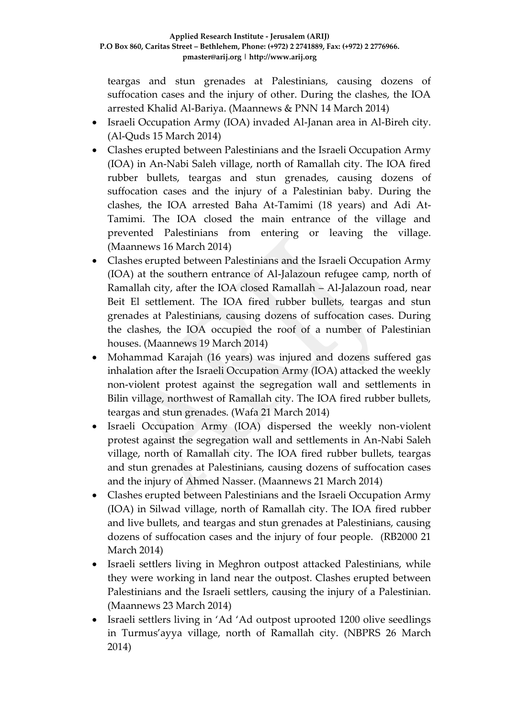teargas and stun grenades at Palestinians, causing dozens of suffocation cases and the injury of other. During the clashes, the IOA arrested Khalid Al-Bariya. (Maannews & PNN 14 March 2014)

- Israeli Occupation Army (IOA) invaded Al-Janan area in Al-Bireh city. (Al-Quds 15 March 2014)
- Clashes erupted between Palestinians and the Israeli Occupation Army (IOA) in An-Nabi Saleh village, north of Ramallah city. The IOA fired rubber bullets, teargas and stun grenades, causing dozens of suffocation cases and the injury of a Palestinian baby. During the clashes, the IOA arrested Baha At-Tamimi (18 years) and Adi At-Tamimi. The IOA closed the main entrance of the village and prevented Palestinians from entering or leaving the village. (Maannews 16 March 2014)
- Clashes erupted between Palestinians and the Israeli Occupation Army (IOA) at the southern entrance of Al-Jalazoun refugee camp, north of Ramallah city, after the IOA closed Ramallah – Al-Jalazoun road, near Beit El settlement. The IOA fired rubber bullets, teargas and stun grenades at Palestinians, causing dozens of suffocation cases. During the clashes, the IOA occupied the roof of a number of Palestinian houses. (Maannews 19 March 2014)
- Mohammad Karajah (16 years) was injured and dozens suffered gas inhalation after the Israeli Occupation Army (IOA) attacked the weekly non-violent protest against the segregation wall and settlements in Bilin village, northwest of Ramallah city. The IOA fired rubber bullets, teargas and stun grenades. (Wafa 21 March 2014)
- Israeli Occupation Army (IOA) dispersed the weekly non-violent protest against the segregation wall and settlements in An-Nabi Saleh village, north of Ramallah city. The IOA fired rubber bullets, teargas and stun grenades at Palestinians, causing dozens of suffocation cases and the injury of Ahmed Nasser. (Maannews 21 March 2014)
- Clashes erupted between Palestinians and the Israeli Occupation Army (IOA) in Silwad village, north of Ramallah city. The IOA fired rubber and live bullets, and teargas and stun grenades at Palestinians, causing dozens of suffocation cases and the injury of four people. (RB2000 21 March 2014)
- Israeli settlers living in Meghron outpost attacked Palestinians, while they were working in land near the outpost. Clashes erupted between Palestinians and the Israeli settlers, causing the injury of a Palestinian. (Maannews 23 March 2014)
- Israeli settlers living in 'Ad 'Ad outpost uprooted 1200 olive seedlings in Turmus'ayya village, north of Ramallah city. (NBPRS 26 March 2014)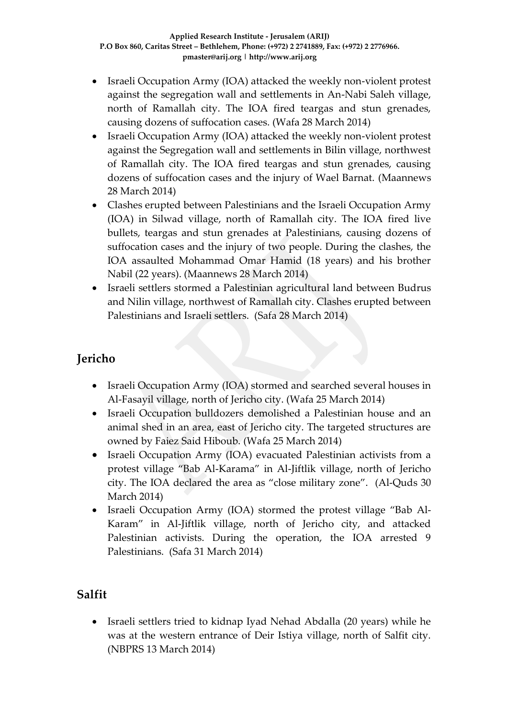- Israeli Occupation Army (IOA) attacked the weekly non-violent protest against the segregation wall and settlements in An-Nabi Saleh village, north of Ramallah city. The IOA fired teargas and stun grenades, causing dozens of suffocation cases. (Wafa 28 March 2014)
- Israeli Occupation Army (IOA) attacked the weekly non-violent protest against the Segregation wall and settlements in Bilin village, northwest of Ramallah city. The IOA fired teargas and stun grenades, causing dozens of suffocation cases and the injury of Wael Barnat. (Maannews 28 March 2014)
- Clashes erupted between Palestinians and the Israeli Occupation Army (IOA) in Silwad village, north of Ramallah city. The IOA fired live bullets, teargas and stun grenades at Palestinians, causing dozens of suffocation cases and the injury of two people. During the clashes, the IOA assaulted Mohammad Omar Hamid (18 years) and his brother Nabil (22 years). (Maannews 28 March 2014)
- Israeli settlers stormed a Palestinian agricultural land between Budrus and Nilin village, northwest of Ramallah city. Clashes erupted between Palestinians and Israeli settlers. (Safa 28 March 2014)

# **Jericho**

- Israeli Occupation Army (IOA) stormed and searched several houses in Al-Fasayil village, north of Jericho city. (Wafa 25 March 2014)
- Israeli Occupation bulldozers demolished a Palestinian house and an animal shed in an area, east of Jericho city. The targeted structures are owned by Faiez Said Hiboub. (Wafa 25 March 2014)
- Israeli Occupation Army (IOA) evacuated Palestinian activists from a protest village "Bab Al-Karama" in Al-Jiftlik village, north of Jericho city. The IOA declared the area as "close military zone". (Al-Quds 30 March 2014)
- Israeli Occupation Army (IOA) stormed the protest village "Bab Al-Karam" in Al-Jiftlik village, north of Jericho city, and attacked Palestinian activists. During the operation, the IOA arrested 9 Palestinians. (Safa 31 March 2014)

# **Salfit**

 Israeli settlers tried to kidnap Iyad Nehad Abdalla (20 years) while he was at the western entrance of Deir Istiya village, north of Salfit city. (NBPRS 13 March 2014)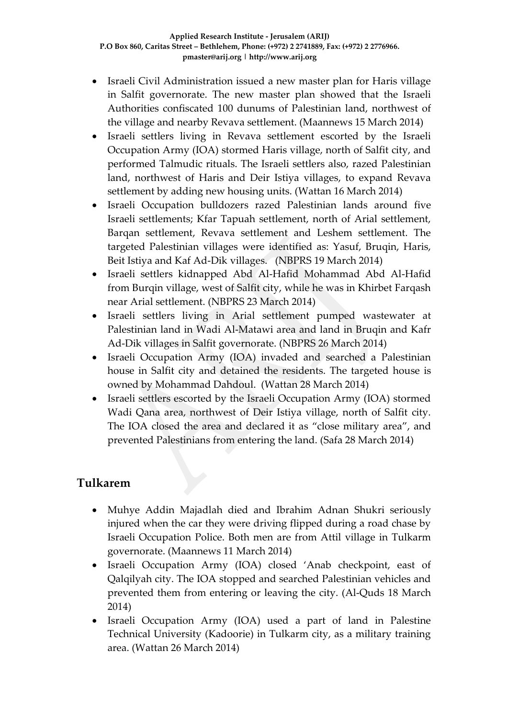- Israeli Civil Administration issued a new master plan for Haris village in Salfit governorate. The new master plan showed that the Israeli Authorities confiscated 100 dunums of Palestinian land, northwest of the village and nearby Revava settlement. (Maannews 15 March 2014)
- Israeli settlers living in Revava settlement escorted by the Israeli Occupation Army (IOA) stormed Haris village, north of Salfit city, and performed Talmudic rituals. The Israeli settlers also, razed Palestinian land, northwest of Haris and Deir Istiya villages, to expand Revava settlement by adding new housing units. (Wattan 16 March 2014)
- Israeli Occupation bulldozers razed Palestinian lands around five Israeli settlements; Kfar Tapuah settlement, north of Arial settlement, Barqan settlement, Revava settlement and Leshem settlement. The targeted Palestinian villages were identified as: Yasuf, Bruqin, Haris, Beit Istiya and Kaf Ad-Dik villages. (NBPRS 19 March 2014)
- Israeli settlers kidnapped Abd Al-Hafid Mohammad Abd Al-Hafid from Burqin village, west of Salfit city, while he was in Khirbet Farqash near Arial settlement. (NBPRS 23 March 2014)
- Israeli settlers living in Arial settlement pumped wastewater at Palestinian land in Wadi Al-Matawi area and land in Bruqin and Kafr Ad-Dik villages in Salfit governorate. (NBPRS 26 March 2014)
- Israeli Occupation Army (IOA) invaded and searched a Palestinian house in Salfit city and detained the residents. The targeted house is owned by Mohammad Dahdoul. (Wattan 28 March 2014)
- Israeli settlers escorted by the Israeli Occupation Army (IOA) stormed Wadi Qana area, northwest of Deir Istiya village, north of Salfit city. The IOA closed the area and declared it as "close military area", and prevented Palestinians from entering the land. (Safa 28 March 2014)

### **Tulkarem**

- Muhye Addin Majadlah died and Ibrahim Adnan Shukri seriously injured when the car they were driving flipped during a road chase by Israeli Occupation Police. Both men are from Attil village in Tulkarm governorate. (Maannews 11 March 2014)
- Israeli Occupation Army (IOA) closed 'Anab checkpoint, east of Qalqilyah city. The IOA stopped and searched Palestinian vehicles and prevented them from entering or leaving the city. (Al-Quds 18 March 2014)
- Israeli Occupation Army (IOA) used a part of land in Palestine Technical University (Kadoorie) in Tulkarm city, as a military training area. (Wattan 26 March 2014)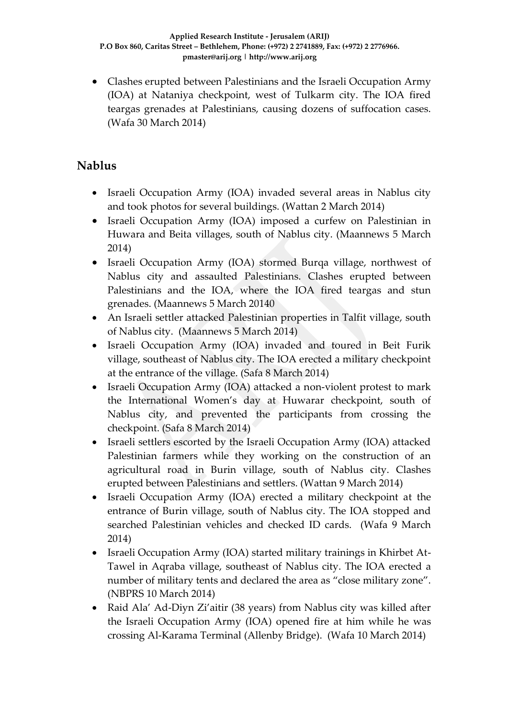Clashes erupted between Palestinians and the Israeli Occupation Army (IOA) at Nataniya checkpoint, west of Tulkarm city. The IOA fired teargas grenades at Palestinians, causing dozens of suffocation cases. (Wafa 30 March 2014)

### **Nablus**

- Israeli Occupation Army (IOA) invaded several areas in Nablus city and took photos for several buildings. (Wattan 2 March 2014)
- Israeli Occupation Army (IOA) imposed a curfew on Palestinian in Huwara and Beita villages, south of Nablus city. (Maannews 5 March 2014)
- Israeli Occupation Army (IOA) stormed Burqa village, northwest of Nablus city and assaulted Palestinians. Clashes erupted between Palestinians and the IOA, where the IOA fired teargas and stun grenades. (Maannews 5 March 20140
- An Israeli settler attacked Palestinian properties in Talfit village, south of Nablus city. (Maannews 5 March 2014)
- Israeli Occupation Army (IOA) invaded and toured in Beit Furik village, southeast of Nablus city. The IOA erected a military checkpoint at the entrance of the village. (Safa 8 March 2014)
- Israeli Occupation Army (IOA) attacked a non-violent protest to mark the International Women's day at Huwarar checkpoint, south of Nablus city, and prevented the participants from crossing the checkpoint. (Safa 8 March 2014)
- Israeli settlers escorted by the Israeli Occupation Army (IOA) attacked Palestinian farmers while they working on the construction of an agricultural road in Burin village, south of Nablus city. Clashes erupted between Palestinians and settlers. (Wattan 9 March 2014)
- Israeli Occupation Army (IOA) erected a military checkpoint at the entrance of Burin village, south of Nablus city. The IOA stopped and searched Palestinian vehicles and checked ID cards. (Wafa 9 March 2014)
- Israeli Occupation Army (IOA) started military trainings in Khirbet At-Tawel in Aqraba village, southeast of Nablus city. The IOA erected a number of military tents and declared the area as "close military zone". (NBPRS 10 March 2014)
- Raid Ala' Ad-Diyn Zi'aitir (38 years) from Nablus city was killed after the Israeli Occupation Army (IOA) opened fire at him while he was crossing Al-Karama Terminal (Allenby Bridge). (Wafa 10 March 2014)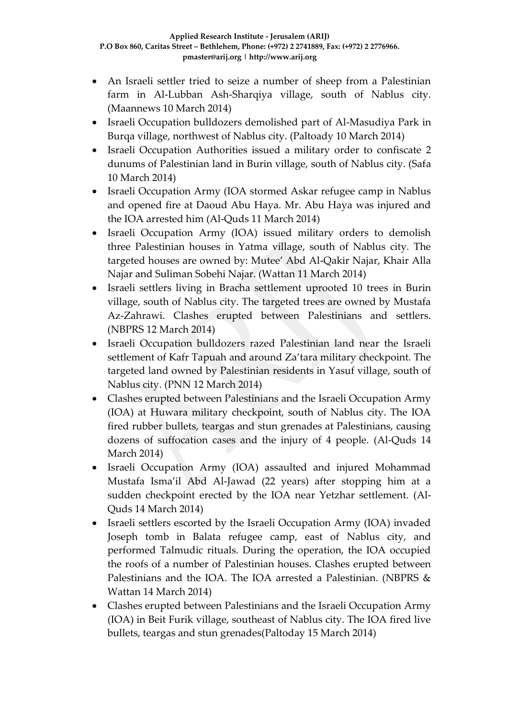- An Israeli settler tried to seize a number of sheep from a Palestinian farm in Al-Lubban Ash-Sharqiya village, south of Nablus city. (Maannews 10 March 2014)
- Israeli Occupation bulldozers demolished part of Al-Masudiya Park in Burqa village, northwest of Nablus city. (Paltoady 10 March 2014)
- Israeli Occupation Authorities issued a military order to confiscate 2 dunums of Palestinian land in Burin village, south of Nablus city. (Safa 10 March 2014)
- Israeli Occupation Army (IOA stormed Askar refugee camp in Nablus and opened fire at Daoud Abu Haya. Mr. Abu Haya was injured and the IOA arrested him (Al-Quds 11 March 2014)
- Israeli Occupation Army (IOA) issued military orders to demolish three Palestinian houses in Yatma village, south of Nablus city. The targeted houses are owned by: Mutee' Abd Al-Qakir Najar, Khair Alla Najar and Suliman Sobehi Najar. (Wattan 11 March 2014)
- Israeli settlers living in Bracha settlement uprooted 10 trees in Burin village, south of Nablus city. The targeted trees are owned by Mustafa Az-Zahrawi. Clashes erupted between Palestinians and settlers. (NBPRS 12 March 2014)
- Israeli Occupation bulldozers razed Palestinian land near the Israeli settlement of Kafr Tapuah and around Za'tara military checkpoint. The targeted land owned by Palestinian residents in Yasuf village, south of Nablus city. (PNN 12 March 2014)
- Clashes erupted between Palestinians and the Israeli Occupation Army (IOA) at Huwara military checkpoint, south of Nablus city. The IOA fired rubber bullets, teargas and stun grenades at Palestinians, causing dozens of suffocation cases and the injury of 4 people. (Al-Quds 14 March 2014)
- Israeli Occupation Army (IOA) assaulted and injured Mohammad Mustafa Isma'il Abd Al-Jawad (22 years) after stopping him at a sudden checkpoint erected by the IOA near Yetzhar settlement. (Al-Quds 14 March 2014)
- Israeli settlers escorted by the Israeli Occupation Army (IOA) invaded Joseph tomb in Balata refugee camp, east of Nablus city, and performed Talmudic rituals. During the operation, the IOA occupied the roofs of a number of Palestinian houses. Clashes erupted between Palestinians and the IOA. The IOA arrested a Palestinian. (NBPRS & Wattan 14 March 2014)
- Clashes erupted between Palestinians and the Israeli Occupation Army (IOA) in Beit Furik village, southeast of Nablus city. The IOA fired live bullets, teargas and stun grenades(Paltoday 15 March 2014)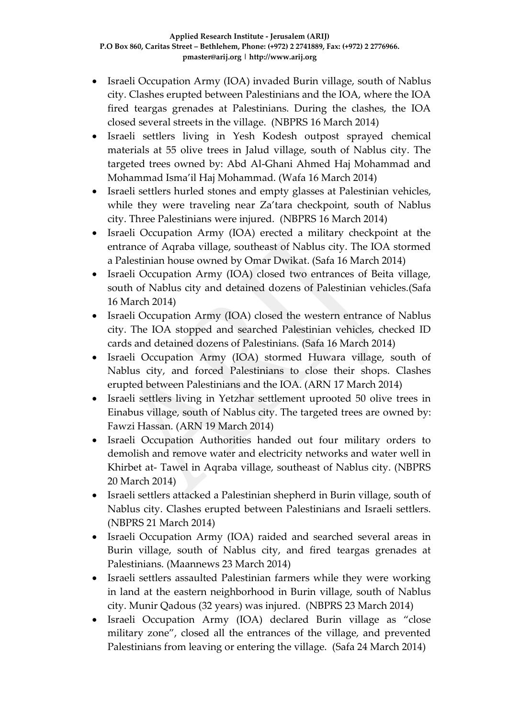- Israeli Occupation Army (IOA) invaded Burin village, south of Nablus city. Clashes erupted between Palestinians and the IOA, where the IOA fired teargas grenades at Palestinians. During the clashes, the IOA closed several streets in the village. (NBPRS 16 March 2014)
- Israeli settlers living in Yesh Kodesh outpost sprayed chemical materials at 55 olive trees in Jalud village, south of Nablus city. The targeted trees owned by: Abd Al-Ghani Ahmed Haj Mohammad and Mohammad Isma'il Haj Mohammad. (Wafa 16 March 2014)
- Israeli settlers hurled stones and empty glasses at Palestinian vehicles, while they were traveling near Za'tara checkpoint, south of Nablus city. Three Palestinians were injured. (NBPRS 16 March 2014)
- Israeli Occupation Army (IOA) erected a military checkpoint at the entrance of Aqraba village, southeast of Nablus city. The IOA stormed a Palestinian house owned by Omar Dwikat. (Safa 16 March 2014)
- Israeli Occupation Army (IOA) closed two entrances of Beita village, south of Nablus city and detained dozens of Palestinian vehicles.(Safa 16 March 2014)
- Israeli Occupation Army (IOA) closed the western entrance of Nablus city. The IOA stopped and searched Palestinian vehicles, checked ID cards and detained dozens of Palestinians. (Safa 16 March 2014)
- Israeli Occupation Army (IOA) stormed Huwara village, south of Nablus city, and forced Palestinians to close their shops. Clashes erupted between Palestinians and the IOA. (ARN 17 March 2014)
- Israeli settlers living in Yetzhar settlement uprooted 50 olive trees in Einabus village, south of Nablus city. The targeted trees are owned by: Fawzi Hassan. (ARN 19 March 2014)
- Israeli Occupation Authorities handed out four military orders to demolish and remove water and electricity networks and water well in Khirbet at- Tawel in Aqraba village, southeast of Nablus city. (NBPRS 20 March 2014)
- Israeli settlers attacked a Palestinian shepherd in Burin village, south of Nablus city. Clashes erupted between Palestinians and Israeli settlers. (NBPRS 21 March 2014)
- Israeli Occupation Army (IOA) raided and searched several areas in Burin village, south of Nablus city, and fired teargas grenades at Palestinians. (Maannews 23 March 2014)
- Israeli settlers assaulted Palestinian farmers while they were working in land at the eastern neighborhood in Burin village, south of Nablus city. Munir Qadous (32 years) was injured. (NBPRS 23 March 2014)
- Israeli Occupation Army (IOA) declared Burin village as "close military zone", closed all the entrances of the village, and prevented Palestinians from leaving or entering the village. (Safa 24 March 2014)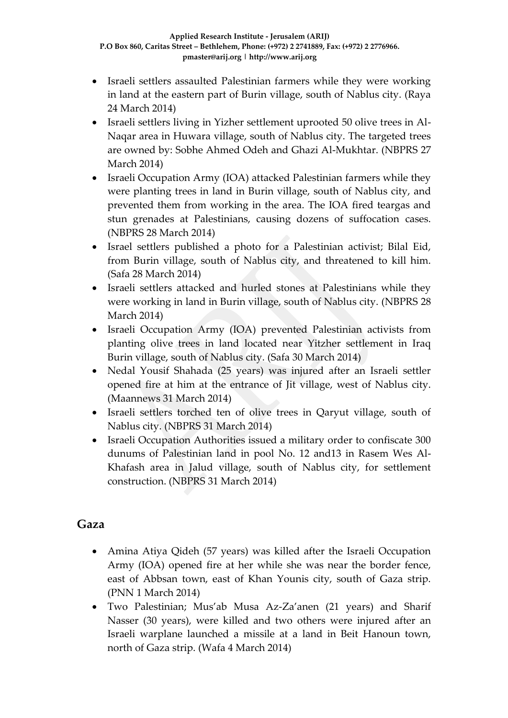- Israeli settlers assaulted Palestinian farmers while they were working in land at the eastern part of Burin village, south of Nablus city. (Raya 24 March 2014)
- Israeli settlers living in Yizher settlement uprooted 50 olive trees in Al-Naqar area in Huwara village, south of Nablus city. The targeted trees are owned by: Sobhe Ahmed Odeh and Ghazi Al-Mukhtar. (NBPRS 27 March 2014)
- Israeli Occupation Army (IOA) attacked Palestinian farmers while they were planting trees in land in Burin village, south of Nablus city, and prevented them from working in the area. The IOA fired teargas and stun grenades at Palestinians, causing dozens of suffocation cases. (NBPRS 28 March 2014)
- Israel settlers published a photo for a Palestinian activist; Bilal Eid, from Burin village, south of Nablus city, and threatened to kill him. (Safa 28 March 2014)
- Israeli settlers attacked and hurled stones at Palestinians while they were working in land in Burin village, south of Nablus city. (NBPRS 28 March 2014)
- Israeli Occupation Army (IOA) prevented Palestinian activists from planting olive trees in land located near Yitzher settlement in Iraq Burin village, south of Nablus city. (Safa 30 March 2014)
- Nedal Yousif Shahada (25 years) was injured after an Israeli settler opened fire at him at the entrance of Jit village, west of Nablus city. (Maannews 31 March 2014)
- Israeli settlers torched ten of olive trees in Qaryut village, south of Nablus city. (NBPRS 31 March 2014)
- Israeli Occupation Authorities issued a military order to confiscate 300 dunums of Palestinian land in pool No. 12 and13 in Rasem Wes Al-Khafash area in Jalud village, south of Nablus city, for settlement construction. (NBPRS 31 March 2014)

### **Gaza**

- Amina Atiya Qideh (57 years) was killed after the Israeli Occupation Army (IOA) opened fire at her while she was near the border fence, east of Abbsan town, east of Khan Younis city, south of Gaza strip. (PNN 1 March 2014)
- Two Palestinian; Mus'ab Musa Az-Za'anen (21 years) and Sharif Nasser (30 years), were killed and two others were injured after an Israeli warplane launched a missile at a land in Beit Hanoun town, north of Gaza strip. (Wafa 4 March 2014)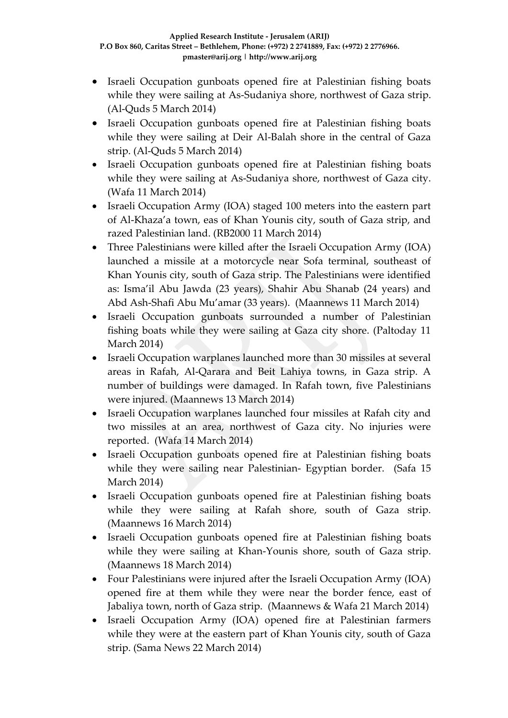- Israeli Occupation gunboats opened fire at Palestinian fishing boats while they were sailing at As-Sudaniya shore, northwest of Gaza strip. (Al-Quds 5 March 2014)
- Israeli Occupation gunboats opened fire at Palestinian fishing boats while they were sailing at Deir Al-Balah shore in the central of Gaza strip. (Al-Quds 5 March 2014)
- Israeli Occupation gunboats opened fire at Palestinian fishing boats while they were sailing at As-Sudaniya shore, northwest of Gaza city. (Wafa 11 March 2014)
- Israeli Occupation Army (IOA) staged 100 meters into the eastern part of Al-Khaza'a town, eas of Khan Younis city, south of Gaza strip, and razed Palestinian land. (RB2000 11 March 2014)
- Three Palestinians were killed after the Israeli Occupation Army (IOA) launched a missile at a motorcycle near Sofa terminal, southeast of Khan Younis city, south of Gaza strip. The Palestinians were identified as: Isma'il Abu Jawda (23 years), Shahir Abu Shanab (24 years) and Abd Ash-Shafi Abu Mu'amar (33 years). (Maannews 11 March 2014)
- Israeli Occupation gunboats surrounded a number of Palestinian fishing boats while they were sailing at Gaza city shore. (Paltoday 11 March 2014)
- Israeli Occupation warplanes launched more than 30 missiles at several areas in Rafah, Al-Qarara and Beit Lahiya towns, in Gaza strip. A number of buildings were damaged. In Rafah town, five Palestinians were injured. (Maannews 13 March 2014)
- Israeli Occupation warplanes launched four missiles at Rafah city and two missiles at an area, northwest of Gaza city. No injuries were reported. (Wafa 14 March 2014)
- Israeli Occupation gunboats opened fire at Palestinian fishing boats while they were sailing near Palestinian- Egyptian border. (Safa 15 March 2014)
- Israeli Occupation gunboats opened fire at Palestinian fishing boats while they were sailing at Rafah shore, south of Gaza strip. (Maannews 16 March 2014)
- Israeli Occupation gunboats opened fire at Palestinian fishing boats while they were sailing at Khan-Younis shore, south of Gaza strip. (Maannews 18 March 2014)
- Four Palestinians were injured after the Israeli Occupation Army (IOA) opened fire at them while they were near the border fence, east of Jabaliya town, north of Gaza strip. (Maannews & Wafa 21 March 2014)
- Israeli Occupation Army (IOA) opened fire at Palestinian farmers while they were at the eastern part of Khan Younis city, south of Gaza strip. (Sama News 22 March 2014)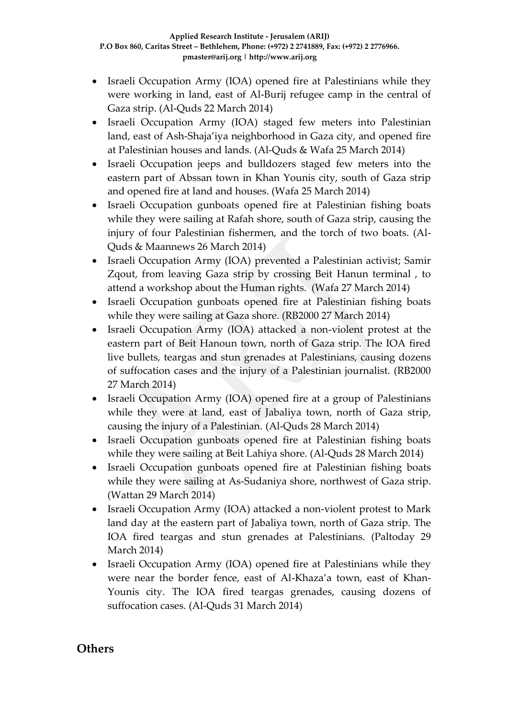- Israeli Occupation Army (IOA) opened fire at Palestinians while they were working in land, east of Al-Burij refugee camp in the central of Gaza strip. (Al-Quds 22 March 2014)
- Israeli Occupation Army (IOA) staged few meters into Palestinian land, east of Ash-Shaja'iya neighborhood in Gaza city, and opened fire at Palestinian houses and lands. (Al-Quds & Wafa 25 March 2014)
- Israeli Occupation jeeps and bulldozers staged few meters into the eastern part of Abssan town in Khan Younis city, south of Gaza strip and opened fire at land and houses. (Wafa 25 March 2014)
- Israeli Occupation gunboats opened fire at Palestinian fishing boats while they were sailing at Rafah shore, south of Gaza strip, causing the injury of four Palestinian fishermen, and the torch of two boats. (Al-Quds & Maannews 26 March 2014)
- Israeli Occupation Army (IOA) prevented a Palestinian activist; Samir Zqout, from leaving Gaza strip by crossing Beit Hanun terminal , to attend a workshop about the Human rights. (Wafa 27 March 2014)
- Israeli Occupation gunboats opened fire at Palestinian fishing boats while they were sailing at Gaza shore. (RB2000 27 March 2014)
- Israeli Occupation Army (IOA) attacked a non-violent protest at the eastern part of Beit Hanoun town, north of Gaza strip. The IOA fired live bullets, teargas and stun grenades at Palestinians, causing dozens of suffocation cases and the injury of a Palestinian journalist. (RB2000 27 March 2014)
- Israeli Occupation Army (IOA) opened fire at a group of Palestinians while they were at land, east of Jabaliya town, north of Gaza strip, causing the injury of a Palestinian. (Al-Quds 28 March 2014)
- Israeli Occupation gunboats opened fire at Palestinian fishing boats while they were sailing at Beit Lahiya shore. (Al-Quds 28 March 2014)
- Israeli Occupation gunboats opened fire at Palestinian fishing boats while they were sailing at As-Sudaniya shore, northwest of Gaza strip. (Wattan 29 March 2014)
- Israeli Occupation Army (IOA) attacked a non-violent protest to Mark land day at the eastern part of Jabaliya town, north of Gaza strip. The IOA fired teargas and stun grenades at Palestinians. (Paltoday 29 March 2014)
- Israeli Occupation Army (IOA) opened fire at Palestinians while they were near the border fence, east of Al-Khaza'a town, east of Khan-Younis city. The IOA fired teargas grenades, causing dozens of suffocation cases. (Al-Quds 31 March 2014)

#### **Others**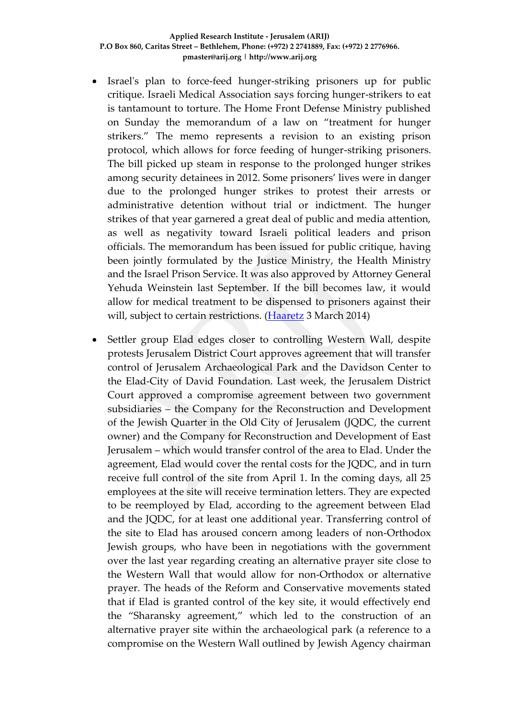- Israel's plan to force-feed hunger-striking prisoners up for public critique. Israeli Medical Association says forcing hunger-strikers to eat is tantamount to torture. The Home Front Defense Ministry published on Sunday the memorandum of a law on "treatment for hunger strikers." The memo represents a revision to an existing prison protocol, which allows for force feeding of hunger-striking prisoners. The bill picked up steam in response to the prolonged hunger strikes among security detainees in 2012. Some prisoners' lives were in danger due to the prolonged hunger strikes to protest their arrests or administrative detention without trial or indictment. The hunger strikes of that year garnered a great deal of public and media attention, as well as negativity toward Israeli political leaders and prison officials. The memorandum has been issued for public critique, having been jointly formulated by the Justice Ministry, the Health Ministry and the Israel Prison Service. It was also approved by Attorney General Yehuda Weinstein last September. If the bill becomes law, it would allow for medical treatment to be dispensed to prisoners against their will, subject to certain restrictions. [\(Haaretz](http://www.haaretz.com/news/national/.premium-1.577488) 3 March 2014)
- Settler group Elad edges closer to controlling Western Wall, despite protests Jerusalem District Court approves agreement that will transfer control of Jerusalem Archaeological Park and the Davidson Center to the Elad-City of David Foundation. Last week, the Jerusalem District Court approved a compromise agreement between two government subsidiaries – the Company for the Reconstruction and Development of the Jewish Quarter in the Old City of Jerusalem (JQDC, the current owner) and the Company for Reconstruction and Development of East Jerusalem – which would transfer control of the area to Elad. Under the agreement, Elad would cover the rental costs for the JQDC, and in turn receive full control of the site from April 1. In the coming days, all 25 employees at the site will receive termination letters. They are expected to be reemployed by Elad, according to the agreement between Elad and the JQDC, for at least one additional year. Transferring control of the site to Elad has aroused concern among leaders of non-Orthodox Jewish groups, who have been in negotiations with the government over the last year regarding creating an alternative prayer site close to the Western Wall that would allow for non-Orthodox or alternative prayer. The heads of the Reform and Conservative movements stated that if Elad is granted control of the key site, it would effectively end the "Sharansky agreement," which led to the construction of an alternative prayer site within the archaeological park (a reference to a compromise on the Western Wall outlined by Jewish Agency chairman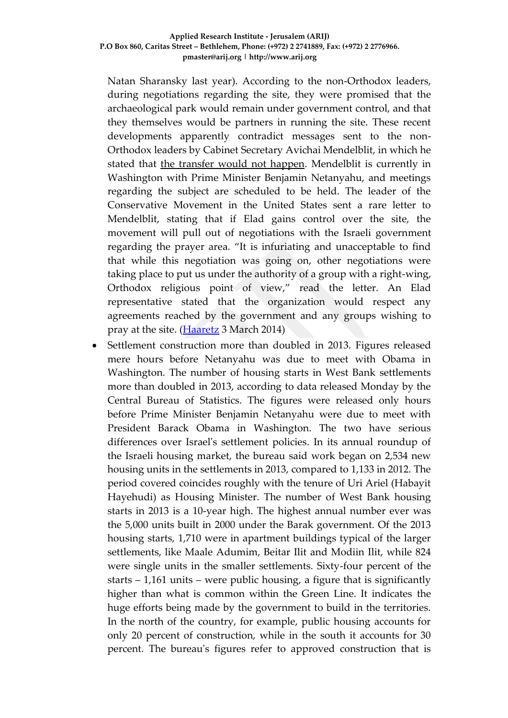Natan Sharansky last year). According to the non-Orthodox leaders, during negotiations regarding the site, they were promised that the archaeological park would remain under government control, and that they themselves would be partners in running the site. These recent developments apparently contradict messages sent to the non-Orthodox leaders by Cabinet Secretary Avichai Mendelblit, in which he stated that [the transfer would not happen.](http://www.haaretz.com/news/national/.premium-1.576949) Mendelblit is currently in Washington with Prime Minister Benjamin Netanyahu, and meetings regarding the subject are scheduled to be held. The leader of the Conservative Movement in the United States sent a rare letter to Mendelblit, stating that if Elad gains control over the site, the movement will pull out of negotiations with the Israeli government regarding the prayer area. "It is infuriating and unacceptable to find that while this negotiation was going on, other negotiations were taking place to put us under the authority of a group with a right-wing, Orthodox religious point of view," read the letter. An Elad representative stated that the organization would respect any agreements reached by the government and any groups wishing to pray at the site. (*Haaretz* 3 March 2014)

 Settlement construction more than doubled in 2013. Figures released mere hours before Netanyahu was due to meet with Obama in Washington. The number of housing starts in West Bank settlements more than doubled in 2013, according to data released Monday by the Central Bureau of Statistics. The figures were released only hours before Prime Minister Benjamin Netanyahu were due to meet with President Barack Obama in Washington. The two have serious differences over Israel's settlement policies. In its annual roundup of the Israeli housing market, the bureau said work began on 2,534 new housing units in the settlements in 2013, compared to 1,133 in 2012. The period covered coincides roughly with the tenure of Uri Ariel (Habayit Hayehudi) as Housing Minister. The number of West Bank housing starts in 2013 is a 10-year high. The highest annual number ever was the 5,000 units built in 2000 under the Barak government. Of the 2013 housing starts, 1,710 were in apartment buildings typical of the larger settlements, like Maale Adumim, Beitar Ilit and Modiin Ilit, while 824 were single units in the smaller settlements. Sixty-four percent of the starts  $-1,161$  units – were public housing, a figure that is significantly higher than what is common within the Green Line. It indicates the huge efforts being made by the government to build in the territories. In the north of the country, for example, public housing accounts for only 20 percent of construction, while in the south it accounts for 30 percent. The bureau's figures refer to approved construction that is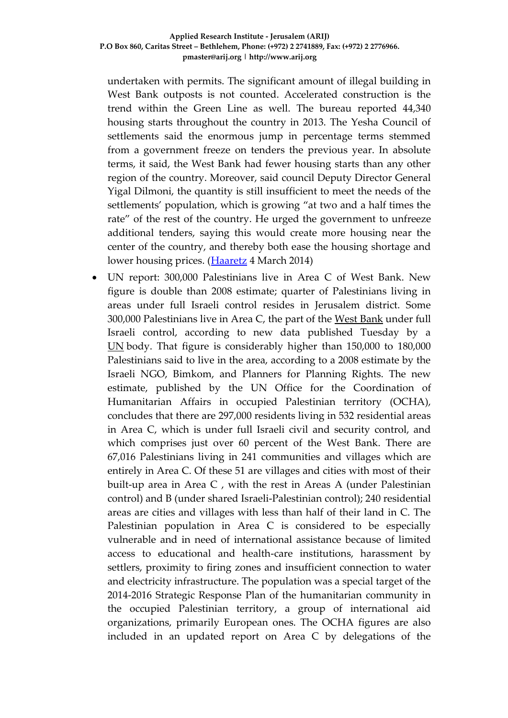undertaken with permits. The significant amount of illegal building in West Bank outposts is not counted. Accelerated construction is the trend within the Green Line as well. The bureau reported 44,340 housing starts throughout the country in 2013. The Yesha Council of settlements said the enormous jump in percentage terms stemmed from a government freeze on tenders the previous year. In absolute terms, it said, the West Bank had fewer housing starts than any other region of the country. Moreover, said council Deputy Director General Yigal Dilmoni, the quantity is still insufficient to meet the needs of the settlements' population, which is growing "at two and a half times the rate" of the rest of the country. He urged the government to unfreeze additional tenders, saying this would create more housing near the center of the country, and thereby both ease the housing shortage and lower housing prices. [\(Haaretz](http://www.haaretz.com/news/national/.premium-1.577648) 4 March 2014)

 UN report: 300,000 Palestinians live in Area C of West Bank. New figure is double than 2008 estimate; quarter of Palestinians living in areas under full Israeli control resides in Jerusalem district. Some 300,000 Palestinians live in Area C, the part of the [West Bank](http://www.haaretz.com/misc/tags/West%20Bank-1.477132) under full Israeli control, according to new data published Tuesday by a [UN](http://www.haaretz.com/misc/tags/UN-1.477098) body. That figure is considerably higher than 150,000 to 180,000 Palestinians said to live in the area, according to a 2008 estimate by the Israeli NGO, Bimkom, and Planners for Planning Rights. The new estimate, published by the UN Office for the Coordination of Humanitarian Affairs in occupied Palestinian territory (OCHA), concludes that there are 297,000 residents living in 532 residential areas in Area C, which is under full Israeli civil and security control, and which comprises just over 60 percent of the West Bank. There are 67,016 Palestinians living in 241 communities and villages which are entirely in Area C. Of these 51 are villages and cities with most of their built-up area in Area C , with the rest in Areas A (under Palestinian control) and B (under shared Israeli-Palestinian control); 240 residential areas are cities and villages with less than half of their land in C. The Palestinian population in Area C is considered to be especially vulnerable and in need of international assistance because of limited access to educational and health-care institutions, harassment by settlers, proximity to firing zones and insufficient connection to water and electricity infrastructure. The population was a special target of the 2014-2016 Strategic Response Plan of the humanitarian community in the occupied Palestinian territory, a group of international aid organizations, primarily European ones. The OCHA figures are also included in an updated report on Area C by delegations of the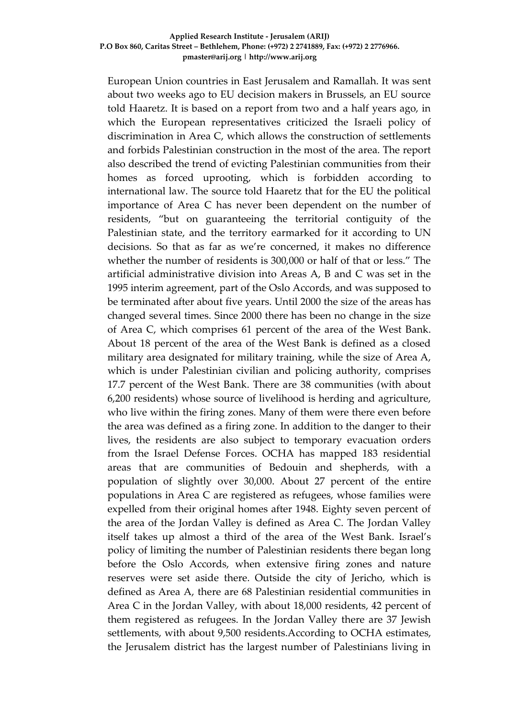European Union countries in East Jerusalem and Ramallah. It was sent about two weeks ago to EU decision makers in Brussels, an EU source told Haaretz. It is based on a report from two and a half years ago, in which the European representatives criticized the Israeli policy of discrimination in Area C, which allows the construction of settlements and forbids Palestinian construction in the most of the area. The report also described the trend of evicting Palestinian communities from their homes as forced uprooting, which is forbidden according to international law. The source told Haaretz that for the EU the political importance of Area C has never been dependent on the number of residents, "but on guaranteeing the territorial contiguity of the Palestinian state, and the territory earmarked for it according to UN decisions. So that as far as we're concerned, it makes no difference whether the number of residents is 300,000 or half of that or less." The artificial administrative division into Areas A, B and C was set in the 1995 interim agreement, part of the Oslo Accords, and was supposed to be terminated after about five years. Until 2000 the size of the areas has changed several times. Since 2000 there has been no change in the size of Area C, which comprises 61 percent of the area of the West Bank. About 18 percent of the area of the West Bank is defined as a closed military area designated for military training, while the size of Area A, which is under Palestinian civilian and policing authority, comprises 17.7 percent of the West Bank. There are 38 communities (with about 6,200 residents) whose source of livelihood is herding and agriculture, who live within the firing zones. Many of them were there even before the area was defined as a firing zone. In addition to the danger to their lives, the residents are also subject to temporary evacuation orders from the Israel Defense Forces. OCHA has mapped 183 residential areas that are communities of Bedouin and shepherds, with a population of slightly over 30,000. About 27 percent of the entire populations in Area C are registered as refugees, whose families were expelled from their original homes after 1948. Eighty seven percent of the area of the Jordan Valley is defined as Area C. The Jordan Valley itself takes up almost a third of the area of the West Bank. Israel's policy of limiting the number of Palestinian residents there began long before the Oslo Accords, when extensive firing zones and nature reserves were set aside there. Outside the city of Jericho, which is defined as Area A, there are 68 Palestinian residential communities in Area C in the Jordan Valley, with about 18,000 residents, 42 percent of them registered as refugees. In the Jordan Valley there are 37 Jewish settlements, with about 9,500 residents.According to OCHA estimates, the Jerusalem district has the largest number of Palestinians living in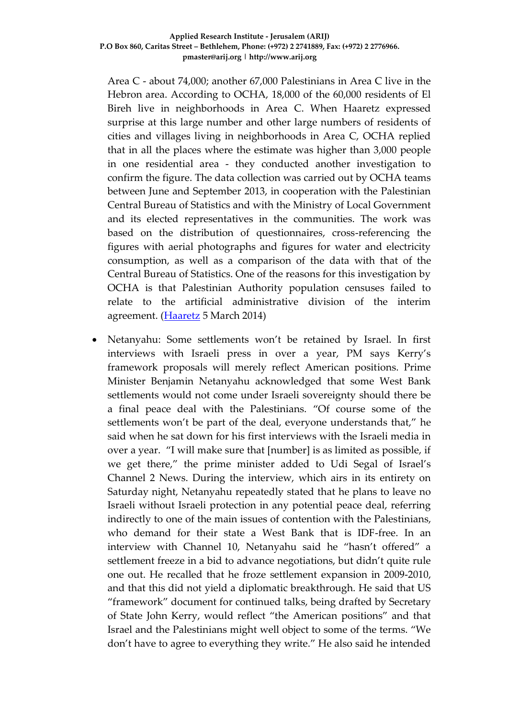Area C - about 74,000; another 67,000 Palestinians in Area C live in the Hebron area. According to OCHA, 18,000 of the 60,000 residents of El Bireh live in neighborhoods in Area C. When Haaretz expressed surprise at this large number and other large numbers of residents of cities and villages living in neighborhoods in Area C, OCHA replied that in all the places where the estimate was higher than 3,000 people in one residential area - they conducted another investigation to confirm the figure. The data collection was carried out by OCHA teams between June and September 2013, in cooperation with the Palestinian Central Bureau of Statistics and with the Ministry of Local Government and its elected representatives in the communities. The work was based on the distribution of questionnaires, cross-referencing the figures with aerial photographs and figures for water and electricity consumption, as well as a comparison of the data with that of the Central Bureau of Statistics. One of the reasons for this investigation by OCHA is that Palestinian Authority population censuses failed to relate to the artificial administrative division of the interim agreement. [\(Haaretz](http://www.haaretz.com/news/diplomacy-defense/.premium-1.577997) 5 March 2014)

 Netanyahu: Some settlements won't be retained by Israel. In first interviews with Israeli press in over a year, PM says Kerry's framework proposals will merely reflect American positions. Prime Minister Benjamin Netanyahu acknowledged that some West Bank settlements would not come under Israeli sovereignty should there be a final peace deal with the Palestinians. "Of course some of the settlements won't be part of the deal, everyone understands that," he said when he sat down for his first interviews with the Israeli media in over a year. "I will make sure that [number] is as limited as possible, if we get there," the prime minister added to Udi Segal of Israel's Channel 2 News. During the interview, which airs in its entirety on Saturday night, Netanyahu repeatedly stated that he plans to leave no Israeli without Israeli protection in any potential peace deal, referring indirectly to one of the main issues of contention with the Palestinians, who demand for their state a West Bank that is IDF-free. In an interview with Channel 10, Netanyahu said he "hasn't offered" a settlement freeze in a bid to advance negotiations, but didn't quite rule one out. He recalled that he froze settlement expansion in 2009-2010, and that this did not yield a diplomatic breakthrough. He said that US "framework" document for continued talks, being drafted by Secretary of State John Kerry, would reflect "the American positions" and that Israel and the Palestinians might well object to some of the terms. "We don't have to agree to everything they write." He also said he intended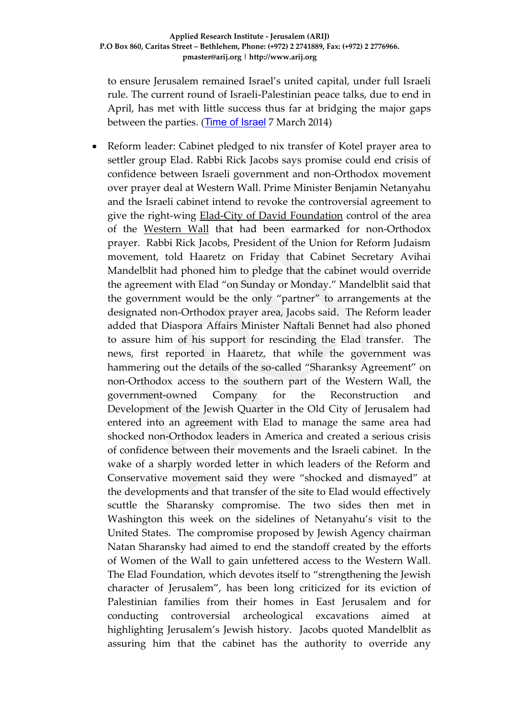to ensure Jerusalem remained Israel's united capital, under full Israeli rule. The current round of Israeli-Palestinian peace talks, due to end in April, has met with little success thus far at bridging the major gaps between the parties. (Time of Israel 7 March 2014)

• Reform leader: Cabinet pledged to nix transfer of Kotel prayer area to settler group Elad. Rabbi Rick Jacobs says promise could end crisis of confidence between Israeli government and non-Orthodox movement over prayer deal at Western Wall. Prime Minister Benjamin Netanyahu and the Israeli cabinet intend to revoke the controversial agreement to give the right-wing [Elad-City of David Foundation](http://www.haaretz.com/news/national/.premium-1.576207) control of the area of the [Western Wall](http://www.haaretz.com/misc/tags/Western%20Wall-1.477097) that had been earmarked for non-Orthodox prayer. Rabbi Rick Jacobs, President of the Union for Reform Judaism movement, told Haaretz on Friday that Cabinet Secretary Avihai Mandelblit had phoned him to pledge that the cabinet would override the agreement with Elad "on Sunday or Monday." Mandelblit said that the government would be the only "partner" to arrangements at the designated non-Orthodox prayer area, Jacobs said. The Reform leader added that Diaspora Affairs Minister Naftali Bennet had also phoned to assure him of his support for rescinding the Elad transfer. The news, first reported in Haaretz, that while the government was hammering out the details of the so-called "Sharanksy Agreement" on non-Orthodox access to the southern part of the Western Wall, the government-owned Company for the Reconstruction and Development of the Jewish Quarter in the Old City of Jerusalem had entered into an agreement with Elad to manage the same area had shocked non-Orthodox leaders in America and created a serious crisis of confidence between their movements and the Israeli cabinet. In the wake of a sharply worded letter in which leaders of the Reform and Conservative movement said they were "shocked and dismayed" at the developments and that transfer of the site to Elad would effectively scuttle the Sharansky compromise. The two sides then met in Washington this week on the sidelines of Netanyahu's visit to the United States. The compromise proposed by Jewish Agency chairman Natan Sharansky had aimed to end the standoff created by the efforts of Women of the Wall to gain unfettered access to the Western Wall. The Elad Foundation, which devotes itself to "strengthening the Jewish character of Jerusalem", has been long criticized for its eviction of Palestinian families from their homes in East Jerusalem and for conducting controversial archeological excavations aimed at highlighting Jerusalem's Jewish history. Jacobs quoted Mandelblit as assuring him that the cabinet has the authority to override any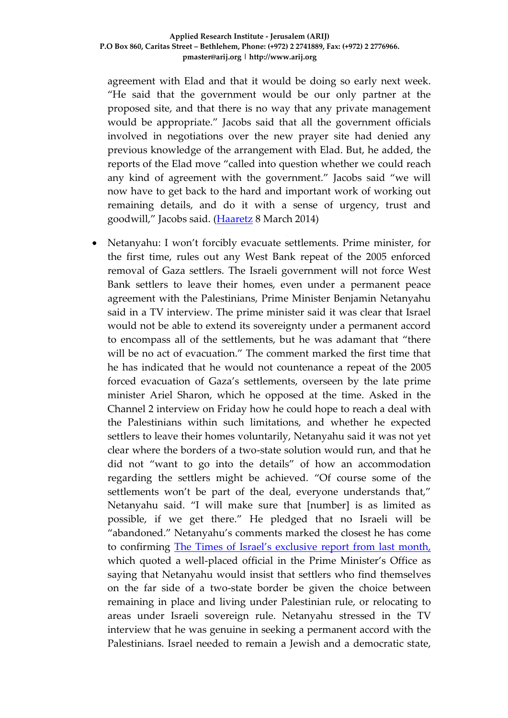agreement with Elad and that it would be doing so early next week. "He said that the government would be our only partner at the proposed site, and that there is no way that any private management would be appropriate." Jacobs said that all the government officials involved in negotiations over the new prayer site had denied any previous knowledge of the arrangement with Elad. But, he added, the reports of the Elad move "called into question whether we could reach any kind of agreement with the government." Jacobs said "we will now have to get back to the hard and important work of working out remaining details, and do it with a sense of urgency, trust and goodwill," Jacobs said. [\(Haaretz](http://www.haaretz.com/jewish-world/jewish-world-news/.premium-1.578542) 8 March 2014)

 Netanyahu: I won't forcibly evacuate settlements. Prime minister, for the first time, rules out any West Bank repeat of the 2005 enforced removal of Gaza settlers. The Israeli government will not force West Bank settlers to leave their homes, even under a permanent peace agreement with the Palestinians, Prime Minister Benjamin Netanyahu said in a TV interview. The prime minister said it was clear that Israel would not be able to extend its sovereignty under a permanent accord to encompass all of the settlements, but he was adamant that "there will be no act of evacuation." The comment marked the first time that he has indicated that he would not countenance a repeat of the 2005 forced evacuation of Gaza's settlements, overseen by the late prime minister Ariel Sharon, which he opposed at the time. Asked in the Channel 2 interview on Friday how he could hope to reach a deal with the Palestinians within such limitations, and whether he expected settlers to leave their homes voluntarily, Netanyahu said it was not yet clear where the borders of a two-state solution would run, and that he did not "want to go into the details" of how an accommodation regarding the settlers might be achieved. "Of course some of the settlements won't be part of the deal, everyone understands that," Netanyahu said. "I will make sure that [number] is as limited as possible, if we get there." He pledged that no Israeli will be "abandoned." Netanyahu's comments marked the closest he has come to confirming [The Times of Israel's exclusive report from last month,](http://www.timesofisrael.com/pm-would-let-settlers-remain-in-west-bank-official-says/) which quoted a well-placed official in the Prime Minister's Office as saying that Netanyahu would insist that settlers who find themselves on the far side of a two-state border be given the choice between remaining in place and living under Palestinian rule, or relocating to areas under Israeli sovereign rule. Netanyahu stressed in the TV interview that he was genuine in seeking a permanent accord with the Palestinians. Israel needed to remain a Jewish and a democratic state,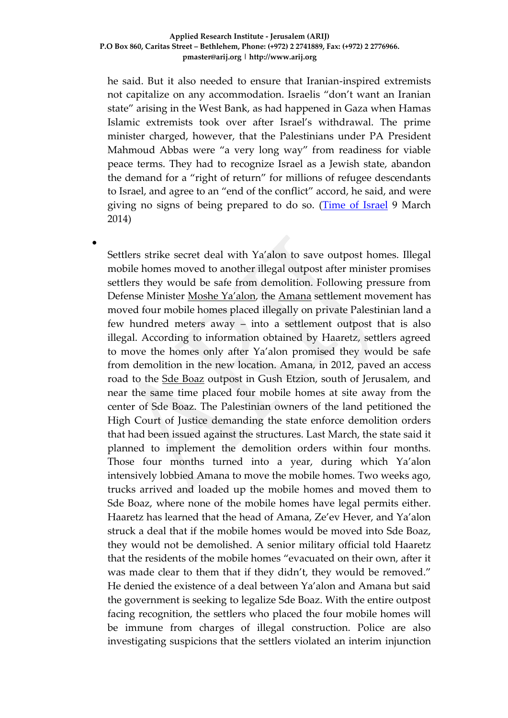he said. But it also needed to ensure that Iranian-inspired extremists not capitalize on any accommodation. Israelis "don't want an Iranian state" arising in the West Bank, as had happened in Gaza when Hamas Islamic extremists took over after Israel's withdrawal. The prime minister charged, however, that the Palestinians under PA President Mahmoud Abbas were "a very long way" from readiness for viable peace terms. They had to recognize Israel as a Jewish state, abandon the demand for a "right of return" for millions of refugee descendants to Israel, and agree to an "end of the conflict" accord, he said, and were giving no signs of being prepared to do so. [\(Time of Israel](http://www.timesofisrael.com/netanyahu-i-wont-forcibly-evacuate-settlements/) 9 March 2014)

Settlers strike secret deal with Ya'alon to save outpost homes. Illegal mobile homes moved to another illegal outpost after minister promises settlers they would be safe from demolition. Following pressure from Defense Minister [Moshe Ya'alon](http://www.haaretz.com/misc/tags/Moshe%20Ya), the [Amana](http://www.haaretz.com/news/features/the-organization-behind-illegal-west-bank-outpost-construction.premium-1.523823) settlement movement has moved four mobile homes placed illegally on private Palestinian land a few hundred meters away – into a settlement outpost that is also illegal. According to information obtained by Haaretz, settlers agreed to move the homes only after Ya'alon promised they would be safe from demolition in the new location. Amana, in 2012, paved an access road to the [Sde Boaz](http://www.haaretz.com/news/national/israel-agrees-to-demolish-four-west-bank-outpost-structures-immediately.premium-1.507716) outpost in Gush Etzion, south of Jerusalem, and near the same time placed four mobile homes at site away from the center of Sde Boaz. The Palestinian owners of the land petitioned the High Court of Justice demanding the state enforce demolition orders that had been issued against the structures. Last March, the state said it planned to implement the demolition orders within four months. Those four months turned into a year, during which Ya'alon intensively lobbied Amana to move the mobile homes. Two weeks ago, trucks arrived and loaded up the mobile homes and moved them to Sde Boaz, where none of the mobile homes have legal permits either. Haaretz has learned that the head of Amana, Ze'ev Hever, and Ya'alon struck a deal that if the mobile homes would be moved into Sde Boaz, they would not be demolished. A senior military official told Haaretz that the residents of the mobile homes "evacuated on their own, after it was made clear to them that if they didn't, they would be removed." He denied the existence of a deal between Ya'alon and Amana but said the government is seeking to legalize Sde Boaz. With the entire outpost facing recognition, the settlers who placed the four mobile homes will be immune from charges of illegal construction. Police are also investigating suspicions that the settlers violated an interim injunction

 $\bullet$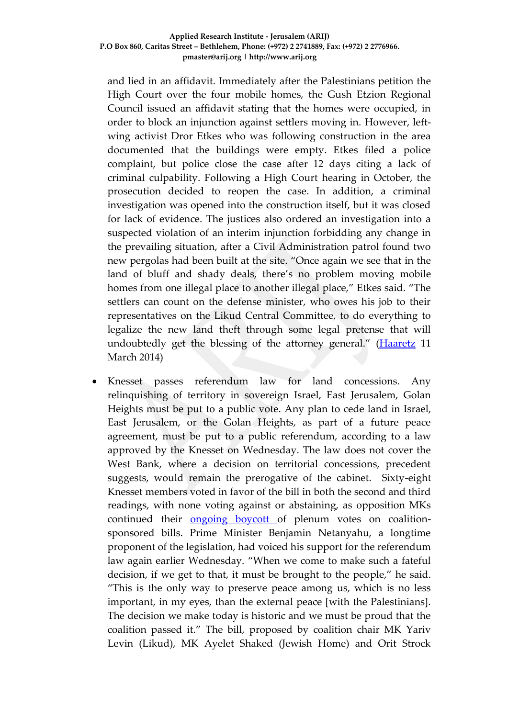and lied in an affidavit. Immediately after the Palestinians petition the High Court over the four mobile homes, the Gush Etzion Regional Council issued an affidavit stating that the homes were occupied, in order to block an injunction against settlers moving in. However, leftwing activist Dror Etkes who was following construction in the area documented that the buildings were empty. Etkes filed a police complaint, but police close the case after 12 days citing a lack of criminal culpability. Following a High Court hearing in October, the prosecution decided to reopen the case. In addition, a criminal investigation was opened into the construction itself, but it was closed for lack of evidence. The justices also ordered an investigation into a suspected violation of an interim injunction forbidding any change in the prevailing situation, after a Civil Administration patrol found two new pergolas had been built at the site. "Once again we see that in the land of bluff and shady deals, there's no problem moving mobile homes from one illegal place to another illegal place," Etkes said. "The settlers can count on the defense minister, who owes his job to their representatives on the Likud Central Committee, to do everything to legalize the new land theft through some legal pretense that will undoubtedly get the blessing of the attorney general." [\(Haaretz](http://www.haaretz.com/news/national/.premium-1.579033) 11 March 2014)

 Knesset passes referendum law for land concessions. Any relinquishing of territory in sovereign Israel, East Jerusalem, Golan Heights must be put to a public vote. Any plan to cede land in Israel, East Jerusalem, or the Golan Heights, as part of a future peace agreement, must be put to a public referendum, according to a law approved by the Knesset on Wednesday. The law does not cover the West Bank, where a decision on territorial concessions, precedent suggests, would remain the prerogative of the cabinet. Sixty-eight Knesset members voted in favor of the bill in both the second and third readings, with none voting against or abstaining, as opposition MKs continued their [ongoing boycott o](http://www.timesofisrael.com/opposition-to-boycott-debates-on-major-bills-this-week/)f plenum votes on coalitionsponsored bills. Prime Minister Benjamin Netanyahu, a longtime proponent of the legislation, had voiced his support for the referendum law again earlier Wednesday. "When we come to make such a fateful decision, if we get to that, it must be brought to the people," he said. "This is the only way to preserve peace among us, which is no less important, in my eyes, than the external peace [with the Palestinians]. The decision we make today is historic and we must be proud that the coalition passed it." The bill, proposed by coalition chair MK Yariv Levin (Likud), MK Ayelet Shaked (Jewish Home) and Orit Strock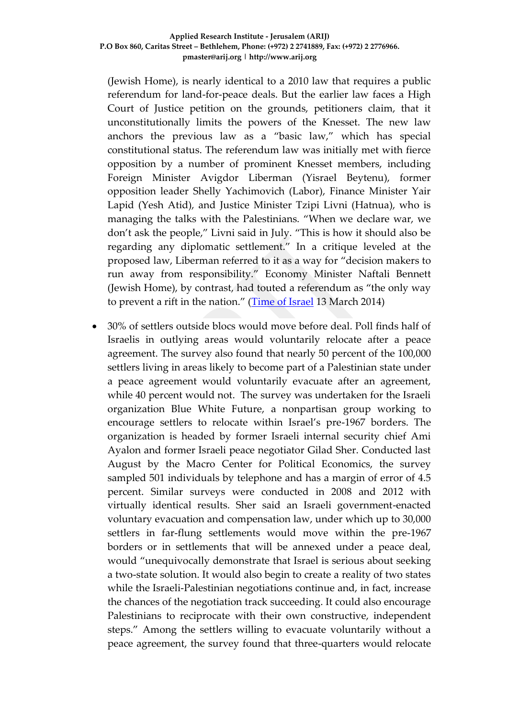(Jewish Home), is nearly identical to a 2010 law that requires a public referendum for land-for-peace deals. But the earlier law faces a High Court of Justice petition on the grounds, petitioners claim, that it unconstitutionally limits the powers of the Knesset. The new law anchors the previous law as a "basic law," which has special constitutional status. The referendum law was initially met with fierce opposition by a number of prominent Knesset members, including Foreign Minister Avigdor Liberman (Yisrael Beytenu), former opposition leader Shelly Yachimovich (Labor), Finance Minister Yair Lapid (Yesh Atid), and Justice Minister Tzipi Livni (Hatnua), who is managing the talks with the Palestinians. "When we declare war, we don't ask the people," Livni said in July. "This is how it should also be regarding any diplomatic settlement." In a critique leveled at the proposed law, Liberman referred to it as a way for "decision makers to run away from responsibility." Economy Minister Naftali Bennett (Jewish Home), by contrast, had touted a referendum as "the only way to prevent a rift in the nation." ([Time of Israel](http://www.timesofisrael.com/knesset-passes-referendum-bill-for-land-swaps/) 13 March 2014)

 30% of settlers outside blocs would move before deal. Poll finds half of Israelis in outlying areas would voluntarily relocate after a peace agreement. The survey also found that nearly 50 percent of the 100,000 settlers living in areas likely to become part of a Palestinian state under a peace agreement would voluntarily evacuate after an agreement, while 40 percent would not. The survey was undertaken for the Israeli organization Blue White Future, a nonpartisan group working to encourage settlers to relocate within Israel's pre-1967 borders. The organization is headed by former Israeli internal security chief Ami Ayalon and former Israeli peace negotiator Gilad Sher. Conducted last August by the Macro Center for Political Economics, the survey sampled 501 individuals by telephone and has a margin of error of 4.5 percent. Similar surveys were conducted in 2008 and 2012 with virtually identical results. Sher said an Israeli government-enacted voluntary evacuation and compensation law, under which up to 30,000 settlers in far-flung settlements would move within the pre-1967 borders or in settlements that will be annexed under a peace deal, would "unequivocally demonstrate that Israel is serious about seeking a two-state solution. It would also begin to create a reality of two states while the Israeli-Palestinian negotiations continue and, in fact, increase the chances of the negotiation track succeeding. It could also encourage Palestinians to reciprocate with their own constructive, independent steps." Among the settlers willing to evacuate voluntarily without a peace agreement, the survey found that three-quarters would relocate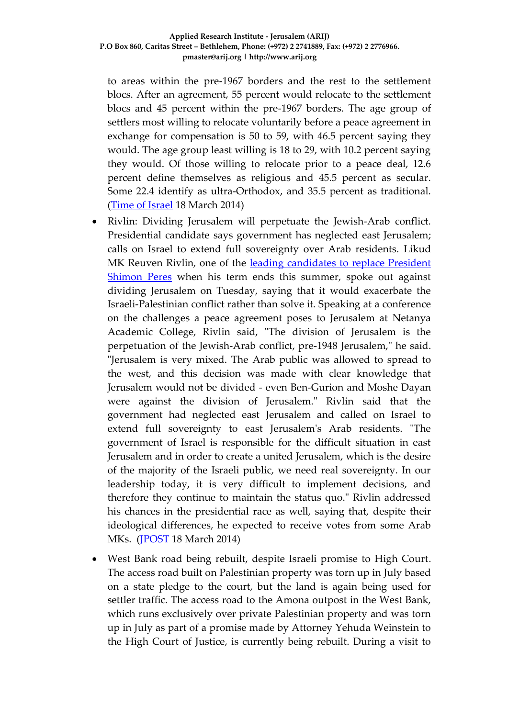to areas within the pre-1967 borders and the rest to the settlement blocs. After an agreement, 55 percent would relocate to the settlement blocs and 45 percent within the pre-1967 borders. The age group of settlers most willing to relocate voluntarily before a peace agreement in exchange for compensation is 50 to 59, with 46.5 percent saying they would. The age group least willing is 18 to 29, with 10.2 percent saying they would. Of those willing to relocate prior to a peace deal, 12.6 percent define themselves as religious and 45.5 percent as secular. Some 22.4 identify as ultra-Orthodox, and 35.5 percent as traditional. [\(Time of Israel](http://www.timesofisrael.com/poll-30-of-settlers-outside-blocs-would-move-before-deal/) 18 March 2014)

- Rivlin: Dividing Jerusalem will perpetuate the Jewish-Arab conflict. Presidential candidate says government has neglected east Jerusalem; calls on Israel to extend full sovereignty over Arab residents. Likud MK Reuven Rivlin, one of the leading candidates to replace President [Shimon Peres](http://www.jpost.com/National-News/Rivlin-becomes-second-presidential-candidate-cleared-to-run-344031) when his term ends this summer, spoke out against dividing Jerusalem on Tuesday, saying that it would exacerbate the Israeli-Palestinian conflict rather than solve it. Speaking at a conference on the challenges a peace agreement poses to Jerusalem at Netanya Academic College, Rivlin said, "The division of Jerusalem is the perpetuation of the Jewish-Arab conflict, pre-1948 Jerusalem," he said. "Jerusalem is very mixed. The Arab public was allowed to spread to the west, and this decision was made with clear knowledge that Jerusalem would not be divided - even Ben-Gurion and Moshe Dayan were against the division of Jerusalem." Rivlin said that the government had neglected east Jerusalem and called on Israel to extend full sovereignty to east Jerusalem's Arab residents. "The government of Israel is responsible for the difficult situation in east Jerusalem and in order to create a united Jerusalem, which is the desire of the majority of the Israeli public, we need real sovereignty. In our leadership today, it is very difficult to implement decisions, and therefore they continue to maintain the status quo." Rivlin addressed his chances in the presidential race as well, saying that, despite their ideological differences, he expected to receive votes from some Arab MKs. [\(JPOST](http://amazing-offers.co.il/Performance/Campaigns/Karkaotdereh_hanativ2/?mdscampaignid=52e900de08c92054386976&mdsitemid=52e900e2545a6050234405&mdschannelid=5309f0302502e283168432¶m=5309f0302502e283168432&mdsviewid=m_5309f0302502e283168432_5328288e7c42a8.90808046) 18 March 2014)
- West Bank road being rebuilt, despite Israeli promise to High Court. The access road built on Palestinian property was torn up in July based on a state pledge to the court, but the land is again being used for settler traffic. The access road to the Amona outpost in the West Bank, which runs exclusively over private Palestinian property and was torn up in July as part of a promise made by Attorney Yehuda Weinstein to the High Court of Justice, is currently being rebuilt. During a visit to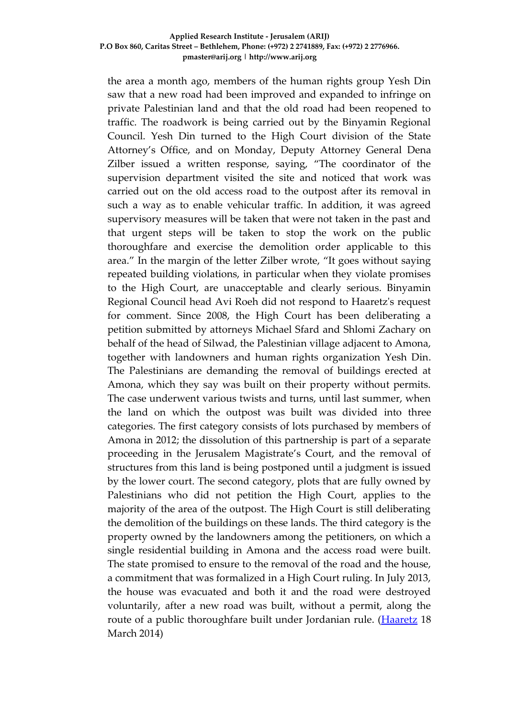the area a month ago, members of the human rights group Yesh Din saw that a new road had been improved and expanded to infringe on private Palestinian land and that the old road had been reopened to traffic. The roadwork is being carried out by the Binyamin Regional Council. Yesh Din turned to the High Court division of the State Attorney's Office, and on Monday, Deputy Attorney General Dena Zilber issued a written response, saying, "The coordinator of the supervision department visited the site and noticed that work was carried out on the old access road to the outpost after its removal in such a way as to enable vehicular traffic. In addition, it was agreed supervisory measures will be taken that were not taken in the past and that urgent steps will be taken to stop the work on the public thoroughfare and exercise the demolition order applicable to this area." In the margin of the letter Zilber wrote, "It goes without saying repeated building violations, in particular when they violate promises to the High Court, are unacceptable and clearly serious. Binyamin Regional Council head Avi Roeh did not respond to Haaretz's request for comment. Since 2008, the High Court has been deliberating a petition submitted by attorneys Michael Sfard and Shlomi Zachary on behalf of the head of Silwad, the Palestinian village adjacent to Amona, together with landowners and human rights organization Yesh Din. The Palestinians are demanding the removal of buildings erected at Amona, which they say was built on their property without permits. The case underwent various twists and turns, until last summer, when the land on which the outpost was built was divided into three categories. The first category consists of lots purchased by members of Amona in 2012; the dissolution of this partnership is part of a separate proceeding in the Jerusalem Magistrate's Court, and the removal of structures from this land is being postponed until a judgment is issued by the lower court. The second category, plots that are fully owned by Palestinians who did not petition the High Court, applies to the majority of the area of the outpost. The High Court is still deliberating the demolition of the buildings on these lands. The third category is the property owned by the landowners among the petitioners, on which a single residential building in Amona and the access road were built. The state promised to ensure to the removal of the road and the house, a commitment that was formalized in a High Court ruling. In July 2013, the house was evacuated and both it and the road were destroyed voluntarily, after a new road was built, without a permit, along the route of a public thoroughfare built under Jordanian rule. [\(Haaretz](http://www.haaretz.com/news/national/.premium-1.580395) 18 March 2014)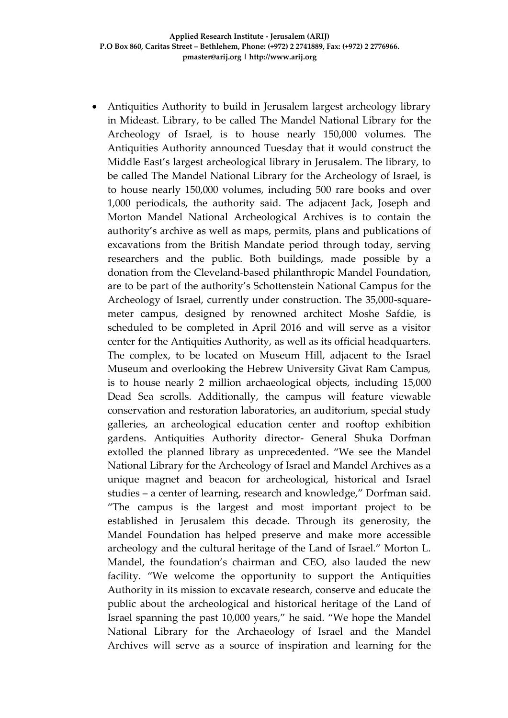Antiquities Authority to build in Jerusalem largest archeology library in Mideast. Library, to be called The Mandel National Library for the Archeology of Israel, is to house nearly 150,000 volumes. The Antiquities Authority announced Tuesday that it would construct the Middle East's largest archeological library in Jerusalem. The library, to be called The Mandel National Library for the Archeology of Israel, is to house nearly 150,000 volumes, including 500 rare books and over 1,000 periodicals, the authority said. The adjacent Jack, Joseph and Morton Mandel National Archeological Archives is to contain the authority's archive as well as maps, permits, plans and publications of excavations from the British Mandate period through today, serving researchers and the public. Both buildings, made possible by a donation from the Cleveland-based philanthropic Mandel Foundation, are to be part of the authority's Schottenstein National Campus for the Archeology of Israel, currently under construction. The 35,000-squaremeter campus, designed by renowned architect Moshe Safdie, is scheduled to be completed in April 2016 and will serve as a visitor center for the Antiquities Authority, as well as its official headquarters. The complex, to be located on Museum Hill, adjacent to the Israel Museum and overlooking the Hebrew University Givat Ram Campus, is to house nearly 2 million archaeological objects, including 15,000 Dead Sea scrolls. Additionally, the campus will feature viewable conservation and restoration laboratories, an auditorium, special study galleries, an archeological education center and rooftop exhibition gardens. Antiquities Authority director- General Shuka Dorfman extolled the planned library as unprecedented. "We see the Mandel National Library for the Archeology of Israel and Mandel Archives as a unique magnet and beacon for archeological, historical and Israel studies – a center of learning, research and knowledge," Dorfman said. "The campus is the largest and most important project to be established in Jerusalem this decade. Through its generosity, the Mandel Foundation has helped preserve and make more accessible archeology and the cultural heritage of the Land of Israel." Morton L. Mandel, the foundation's chairman and CEO, also lauded the new facility. "We welcome the opportunity to support the Antiquities Authority in its mission to excavate research, conserve and educate the public about the archeological and historical heritage of the Land of Israel spanning the past 10,000 years," he said. "We hope the Mandel National Library for the Archaeology of Israel and the Mandel Archives will serve as a source of inspiration and learning for the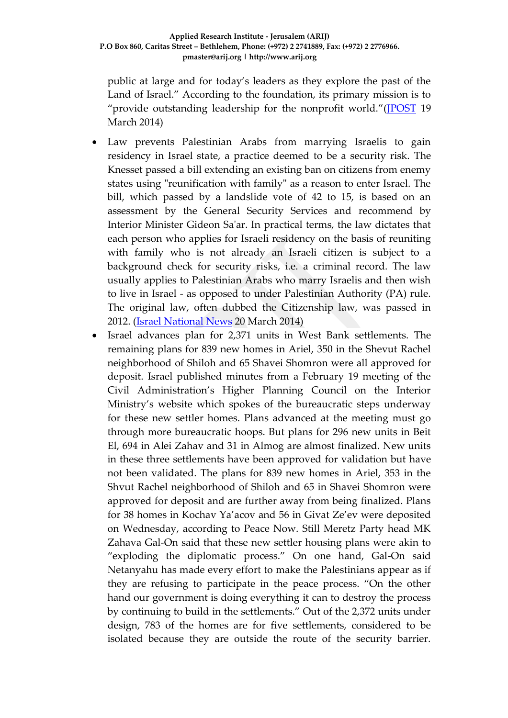public at large and for today's leaders as they explore the past of the Land of Israel." According to the foundation, its primary mission is to "provide outstanding leadership for the nonprofit world."[\(JPOST](http://www.jpost.com/National-News/Antiquities-Authority-to-build-in-Jerusalem-largest-archeology-library-in-Mideast-345805) 19 March 2014)

- Law prevents Palestinian Arabs from marrying Israelis to gain residency in Israel state, a practice deemed to be a security risk. The Knesset passed a bill extending an existing ban on citizens from enemy states using "reunification with family" as a reason to enter Israel. The bill, which passed by a landslide vote of 42 to 15, is based on an assessment by the General Security Services and recommend by Interior Minister Gideon Sa'ar. In practical terms, the law dictates that each person who applies for Israeli residency on the basis of reuniting with family who is not already an Israeli citizen is subject to a background check for security risks, i.e. a criminal record. The law usually applies to Palestinian Arabs who marry Israelis and then wish to live in Israel - as opposed to under Palestinian Authority (PA) rule. The original law, often dubbed the Citizenship law, was passed in 2012. [\(Israel National News](http://www.israelnationalnews.com/News/News.aspx/178685) 20 March 2014)
- Israel advances plan for 2,371 units in West Bank settlements. The remaining plans for 839 new homes in Ariel, 350 in the Shevut Rachel neighborhood of Shiloh and 65 Shavei Shomron were all approved for deposit. Israel published minutes from a February 19 meeting of the Civil Administration's Higher Planning Council on the Interior Ministry's website which spokes of the bureaucratic steps underway for these new settler homes. Plans advanced at the meeting must go through more bureaucratic hoops. But plans for 296 new units in Beit El, 694 in Alei Zahav and 31 in Almog are almost finalized. New units in these three settlements have been approved for validation but have not been validated. The plans for 839 new homes in Ariel, 353 in the Shvut Rachel neighborhood of Shiloh and 65 in Shavei Shomron were approved for deposit and are further away from being finalized. Plans for 38 homes in Kochav Ya'acov and 56 in Givat Ze'ev were deposited on Wednesday, according to Peace Now. Still Meretz Party head MK Zahava Gal-On said that these new settler housing plans were akin to "exploding the diplomatic process." On one hand, Gal-On said Netanyahu has made every effort to make the Palestinians appear as if they are refusing to participate in the peace process. "On the other hand our government is doing everything it can to destroy the process by continuing to build in the settlements." Out of the 2,372 units under design, 783 of the homes are for five settlements, considered to be isolated because they are outside the route of the security barrier.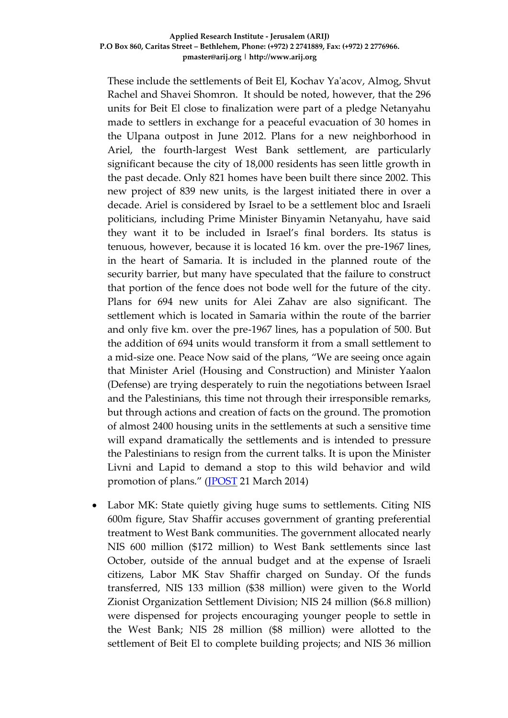These include the settlements of Beit El, Kochav Ya'acov, Almog, Shvut Rachel and Shavei Shomron. It should be noted, however, that the 296 units for Beit El close to finalization were part of a pledge Netanyahu made to settlers in exchange for a peaceful evacuation of 30 homes in the Ulpana outpost in June 2012. Plans for a new neighborhood in Ariel, the fourth-largest West Bank settlement, are particularly significant because the city of 18,000 residents has seen little growth in the past decade. Only 821 homes have been built there since 2002. This new project of 839 new units, is the largest initiated there in over a decade. Ariel is considered by Israel to be a settlement bloc and Israeli politicians, including Prime Minister Binyamin Netanyahu, have said they want it to be included in Israel's final borders. Its status is tenuous, however, because it is located 16 km. over the pre-1967 lines, in the heart of Samaria. It is included in the planned route of the security barrier, but many have speculated that the failure to construct that portion of the fence does not bode well for the future of the city. Plans for 694 new units for Alei Zahav are also significant. The settlement which is located in Samaria within the route of the barrier and only five km. over the pre-1967 lines, has a population of 500. But the addition of 694 units would transform it from a small settlement to a mid-size one. Peace Now said of the plans, "We are seeing once again that Minister Ariel (Housing and Construction) and Minister Yaalon (Defense) are trying desperately to ruin the negotiations between Israel and the Palestinians, this time not through their irresponsible remarks, but through actions and creation of facts on the ground. The promotion of almost 2400 housing units in the settlements at such a sensitive time will expand dramatically the settlements and is intended to pressure the Palestinians to resign from the current talks. It is upon the Minister Livni and Lapid to demand a stop to this wild behavior and wild promotion of plans." [\(JPOST](http://www.jpost.com/Diplomacy-and-Politics/Israel-advances-plan-for-2371-units-in-West-Bank-settlements-346073) 21 March 2014)

• Labor MK: State quietly giving huge sums to settlements. Citing NIS 600m figure, Stav Shaffir accuses government of granting preferential treatment to West Bank communities. The government allocated nearly NIS 600 million (\$172 million) to West Bank settlements since last October, outside of the annual budget and at the expense of Israeli citizens, Labor MK Stav Shaffir charged on Sunday. Of the funds transferred, NIS 133 million (\$38 million) were given to the World Zionist Organization Settlement Division; NIS 24 million (\$6.8 million) were dispensed for projects encouraging younger people to settle in the West Bank; NIS 28 million (\$8 million) were allotted to the settlement of Beit El to complete building projects; and NIS 36 million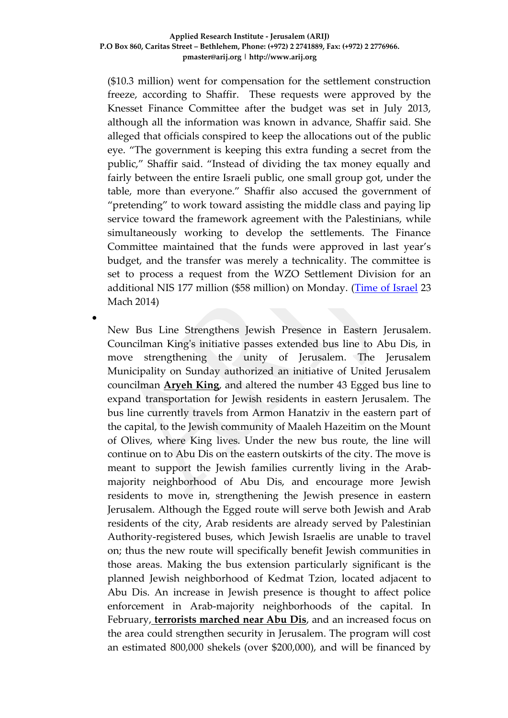(\$10.3 million) went for compensation for the settlement construction freeze, according to Shaffir. These requests were approved by the Knesset Finance Committee after the budget was set in July 2013, although all the information was known in advance, Shaffir said. She alleged that officials conspired to keep the allocations out of the public eye. "The government is keeping this extra funding a secret from the public," Shaffir said. "Instead of dividing the tax money equally and fairly between the entire Israeli public, one small group got, under the table, more than everyone." Shaffir also accused the government of "pretending" to work toward assisting the middle class and paying lip service toward the framework agreement with the Palestinians, while simultaneously working to develop the settlements. The Finance Committee maintained that the funds were approved in last year's budget, and the transfer was merely a technicality. The committee is set to process a request from the WZO Settlement Division for an additional NIS 177 million (\$58 million) on Monday. [\(Time of Israel](http://www.timesofisrael.com/labor-mk-state-quietly-giving-millions-to-settlements/) 23 Mach 2014)

 $\bullet$ 

New Bus Line Strengthens Jewish Presence in Eastern Jerusalem. Councilman King's initiative passes extended bus line to Abu Dis, in move strengthening the unity of Jerusalem. The Jerusalem Municipality on Sunday authorized an initiative of United Jerusalem councilman **[Aryeh King](http://www.israelnationalnews.com/News/News.aspx/176321)**, and altered the number 43 Egged bus line to expand transportation for Jewish residents in eastern Jerusalem. The bus line currently travels from Armon Hanatziv in the eastern part of the capital, to the Jewish community of Maaleh Hazeitim on the Mount of Olives, where King lives. Under the new bus route, the line will continue on to Abu Dis on the eastern outskirts of the city. The move is meant to support the Jewish families currently living in the Arabmajority neighborhood of Abu Dis, and encourage more Jewish residents to move in, strengthening the Jewish presence in eastern Jerusalem. Although the Egged route will serve both Jewish and Arab residents of the city, Arab residents are already served by Palestinian Authority-registered buses, which Jewish Israelis are unable to travel on; thus the new route will specifically benefit Jewish communities in those areas. Making the bus extension particularly significant is the planned Jewish neighborhood of Kedmat Tzion, located adjacent to Abu Dis. An increase in Jewish presence is thought to affect police enforcement in Arab-majority neighborhoods of the capital. In February, **[terrorists marched near Abu Dis](http://www.israelnationalnews.com/News/News.aspx/177744)**, and an increased focus on the area could strengthen security in Jerusalem. The program will cost an estimated 800,000 shekels (over \$200,000), and will be financed by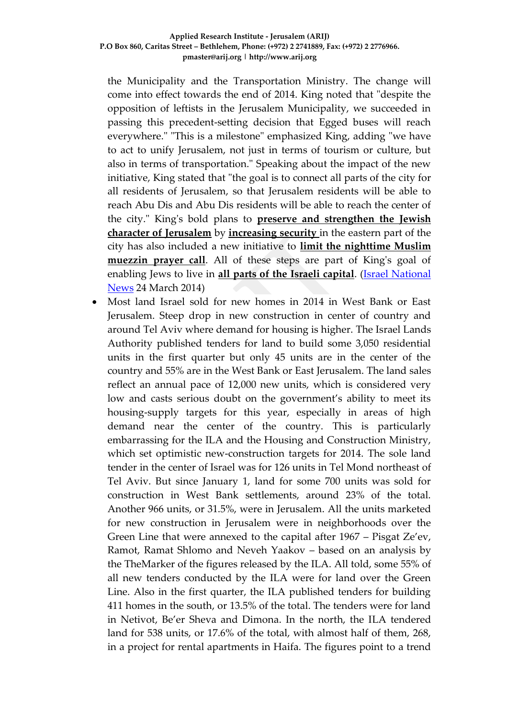the Municipality and the Transportation Ministry. The change will come into effect towards the end of 2014. King noted that "despite the opposition of leftists in the Jerusalem Municipality, we succeeded in passing this precedent-setting decision that Egged buses will reach everywhere." "This is a milestone" emphasized King, adding "we have to act to unify Jerusalem, not just in terms of tourism or culture, but also in terms of transportation." Speaking about the impact of the new initiative, King stated that "the goal is to connect all parts of the city for all residents of Jerusalem, so that Jerusalem residents will be able to reach Abu Dis and Abu Dis residents will be able to reach the center of the city." King's bold plans to **[preserve and strengthen the Jewish](http://www.israelnationalnews.com/News/News.aspx/174609)  [character of Jerusalem](http://www.israelnationalnews.com/News/News.aspx/174609)** by **[increasing security](http://www.israelnationalnews.com/News/News.aspx/178184)** in the eastern part of the city has also included a new initiative to **[limit the nighttime Muslim](http://www.israelnationalnews.com/News/News.aspx/178063)  [muezzin prayer call](http://www.israelnationalnews.com/News/News.aspx/178063)**. All of these steps are part of King's goal of enabling Jews to live in **[all parts of the Israeli capital](http://www.israelnationalnews.com/News/News.aspx/172516)**. [\(Israel National](http://www.israelnationalnews.com/News/News.aspx/178835)  [News](http://www.israelnationalnews.com/News/News.aspx/178835) 24 March 2014)

 Most land Israel sold for new homes in 2014 in West Bank or East Jerusalem. Steep drop in new construction in center of country and around Tel Aviv where demand for housing is higher. The Israel Lands Authority published tenders for land to build some 3,050 residential units in the first quarter but only 45 units are in the center of the country and 55% are in the West Bank or East Jerusalem. The land sales reflect an annual pace of 12,000 new units, which is considered very low and casts serious doubt on the government's ability to meet its housing-supply targets for this year, especially in areas of high demand near the center of the country. This is particularly embarrassing for the ILA and the Housing and Construction Ministry, which set optimistic new-construction targets for 2014. The sole land tender in the center of Israel was for 126 units in Tel Mond northeast of Tel Aviv. But since January 1, land for some 700 units was sold for construction in West Bank settlements, around 23% of the total. Another 966 units, or 31.5%, were in Jerusalem. All the units marketed for new construction in Jerusalem were in neighborhoods over the Green Line that were annexed to the capital after 1967 – Pisgat Ze'ev, Ramot, Ramat Shlomo and Neveh Yaakov – based on an analysis by the TheMarker of the figures released by the ILA. All told, some 55% of all new tenders conducted by the ILA were for land over the Green Line. Also in the first quarter, the ILA published tenders for building 411 homes in the south, or 13.5% of the total. The tenders were for land in Netivot, Be'er Sheva and Dimona. In the north, the ILA tendered land for 538 units, or 17.6% of the total, with almost half of them, 268, in a project for rental apartments in Haifa. The figures point to a trend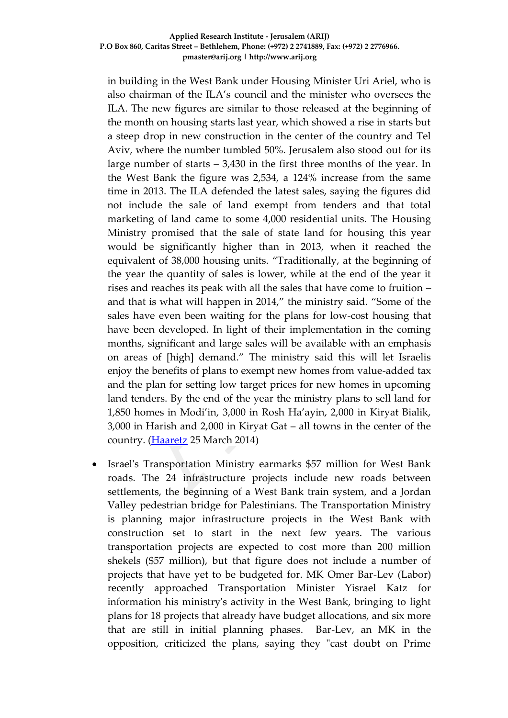in building in the West Bank under Housing Minister Uri Ariel, who is also chairman of the ILA's council and the minister who oversees the ILA. The new figures are similar to those released at the beginning of the month on housing starts last year, which showed a rise in starts but a steep drop in new construction in the center of the country and Tel Aviv, where the number tumbled 50%. Jerusalem also stood out for its large number of starts – 3,430 in the first three months of the year. In the West Bank the figure was 2,534, a 124% increase from the same time in 2013. The ILA defended the latest sales, saying the figures did not include the sale of land exempt from tenders and that total marketing of land came to some 4,000 residential units. The Housing Ministry promised that the sale of state land for housing this year would be significantly higher than in 2013, when it reached the equivalent of 38,000 housing units. "Traditionally, at the beginning of the year the quantity of sales is lower, while at the end of the year it rises and reaches its peak with all the sales that have come to fruition – and that is what will happen in 2014," the ministry said. "Some of the sales have even been waiting for the plans for low-cost housing that have been developed. In light of their implementation in the coming months, significant and large sales will be available with an emphasis on areas of [high] demand." The ministry said this will let Israelis enjoy the benefits of plans to exempt new homes from value-added tax and the plan for setting low target prices for new homes in upcoming land tenders. By the end of the year the ministry plans to sell land for 1,850 homes in Modi'in, 3,000 in Rosh Ha'ayin, 2,000 in Kiryat Bialik, 3,000 in Harish and 2,000 in Kiryat Gat – all towns in the center of the country. [\(Haaretz](http://www.haaretz.com/business/.premium-1.581726) 25 March 2014)

 Israel's Transportation Ministry earmarks \$57 million for West Bank roads. The 24 infrastructure projects include new roads between settlements, the beginning of a West Bank train system, and a Jordan Valley pedestrian bridge for Palestinians. The Transportation Ministry is planning major infrastructure projects in the West Bank with construction set to start in the next few years. The various transportation projects are expected to cost more than 200 million shekels (\$57 million), but that figure does not include a number of projects that have yet to be budgeted for. MK Omer Bar-Lev (Labor) recently approached Transportation Minister Yisrael Katz for information his ministry's activity in the West Bank, bringing to light plans for 18 projects that already have budget allocations, and six more that are still in initial planning phases. Bar-Lev, an MK in the opposition, criticized the plans, saying they "cast doubt on Prime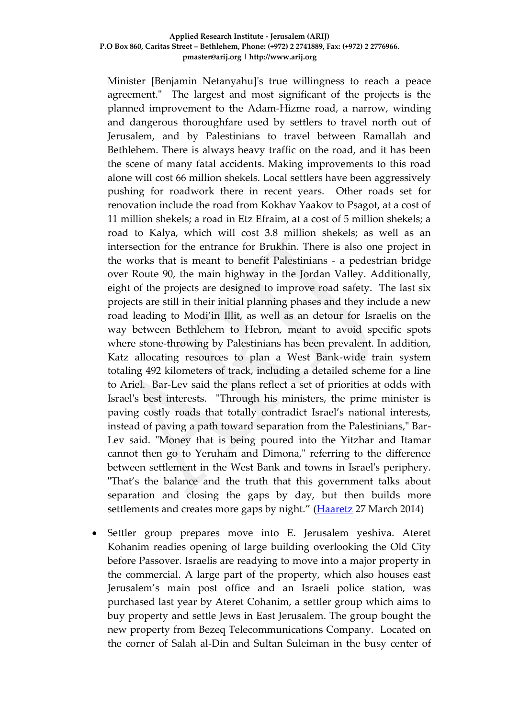Minister [Benjamin Netanyahu]'s true willingness to reach a peace agreement." The largest and most significant of the projects is the planned improvement to the Adam-Hizme road, a narrow, winding and dangerous thoroughfare used by settlers to travel north out of Jerusalem, and by Palestinians to travel between Ramallah and Bethlehem. There is always heavy traffic on the road, and it has been the scene of many fatal accidents. Making improvements to this road alone will cost 66 million shekels. Local settlers have been aggressively pushing for roadwork there in recent years. Other roads set for renovation include the road from Kokhav Yaakov to Psagot, at a cost of 11 million shekels; a road in Etz Efraim, at a cost of 5 million shekels; a road to Kalya, which will cost 3.8 million shekels; as well as an intersection for the entrance for Brukhin. There is also one project in the works that is meant to benefit Palestinians - a pedestrian bridge over Route 90, the main highway in the Jordan Valley. Additionally, eight of the projects are designed to improve road safety. The last six projects are still in their initial planning phases and they include a new road leading to Modi'in Illit, as well as an detour for Israelis on the way between Bethlehem to Hebron, meant to avoid specific spots where stone-throwing by Palestinians has been prevalent. In addition, Katz allocating resources to plan a West Bank-wide train system totaling 492 kilometers of track, including a detailed scheme for a line to Ariel. Bar-Lev said the plans reflect a set of priorities at odds with Israel's best interests. "Through his ministers, the prime minister is paving costly roads that totally contradict Israel's national interests, instead of paving a path toward separation from the Palestinians," Bar-Lev said. "Money that is being poured into the Yitzhar and Itamar cannot then go to Yeruham and Dimona," referring to the difference between settlement in the West Bank and towns in Israel's periphery. "That's the balance and the truth that this government talks about separation and closing the gaps by day, but then builds more settlements and creates more gaps by night." [\(Haaretz](http://www.haaretz.com/news/national/.premium-1.582178) 27 March 2014)

 Settler group prepares move into E. Jerusalem yeshiva. Ateret Kohanim readies opening of large building overlooking the Old City before Passover. Israelis are readying to move into a major property in the commercial. A large part of the property, which also houses east Jerusalem's main post office and an Israeli police station, was purchased last year by Ateret Cohanim, a settler group which aims to buy property and settle Jews in East Jerusalem. The group bought the new property from Bezeq Telecommunications Company. Located on the corner of Salah al-Din and Sultan Suleiman in the busy center of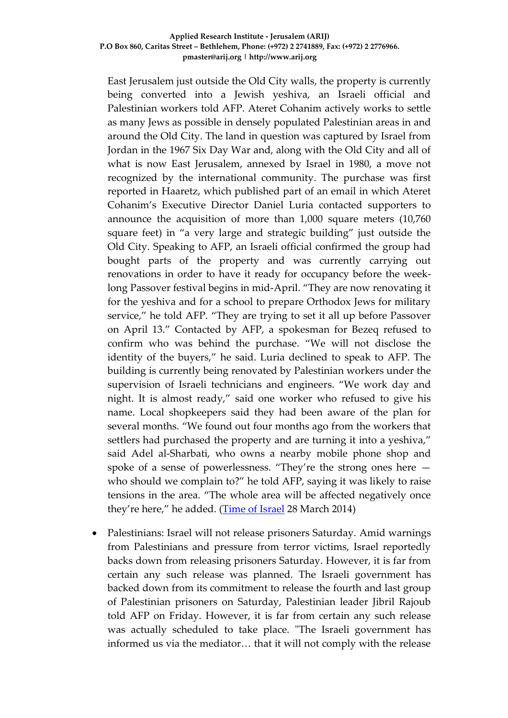East Jerusalem just outside the Old City walls, the property is currently being converted into a Jewish yeshiva, an Israeli official and Palestinian workers told AFP. Ateret Cohanim actively works to settle as many Jews as possible in densely populated Palestinian areas in and around the Old City. The land in question was captured by Israel from Jordan in the 1967 Six Day War and, along with the Old City and all of what is now East Jerusalem, annexed by Israel in 1980, a move not recognized by the international community. The purchase was first reported in Haaretz, which published part of an email in which Ateret Cohanim's Executive Director Daniel Luria contacted supporters to announce the acquisition of more than 1,000 square meters (10,760 square feet) in "a very large and strategic building" just outside the Old City. Speaking to AFP, an Israeli official confirmed the group had bought parts of the property and was currently carrying out renovations in order to have it ready for occupancy before the weeklong Passover festival begins in mid-April. "They are now renovating it for the yeshiva and for a school to prepare Orthodox Jews for military service," he told AFP. "They are trying to set it all up before Passover on April 13." Contacted by AFP, a spokesman for Bezeq refused to confirm who was behind the purchase. "We will not disclose the identity of the buyers," he said. Luria declined to speak to AFP. The building is currently being renovated by Palestinian workers under the supervision of Israeli technicians and engineers. "We work day and night. It is almost ready," said one worker who refused to give his name. Local shopkeepers said they had been aware of the plan for several months. "We found out four months ago from the workers that settlers had purchased the property and are turning it into a yeshiva," said Adel al-Sharbati, who owns a nearby mobile phone shop and spoke of a sense of powerlessness. "They're the strong ones here who should we complain to?" he told AFP, saying it was likely to raise tensions in the area. "The whole area will be affected negatively once they're here," he added. [\(Time of Israel](http://www.timesofisrael.com/settler-group-prepares-move-into-e-jerusalem-yeshiva/) 28 March 2014)

 Palestinians: Israel will not release prisoners Saturday. Amid warnings from Palestinians and pressure from terror victims, Israel reportedly backs down from releasing prisoners Saturday. However, it is far from certain any such release was planned. The Israeli government has backed down from its commitment to release the fourth and last group of Palestinian prisoners on Saturday, Palestinian leader Jibril Rajoub told AFP on Friday. However, it is far from certain any such release was actually scheduled to take place. "The Israeli government has informed us via the mediator… that it will not comply with the release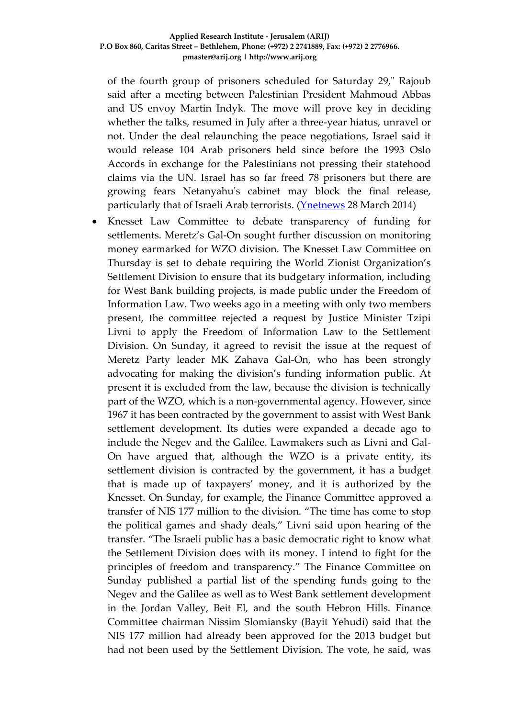of the fourth group of prisoners scheduled for Saturday 29," Rajoub said after a meeting between Palestinian President Mahmoud Abbas and US envoy Martin Indyk. The move will prove key in deciding whether the talks, resumed in July after a three-year hiatus, unravel or not. Under the deal relaunching the peace negotiations, Israel said it would release 104 Arab prisoners held since before the 1993 Oslo Accords in exchange for the Palestinians not pressing their statehood claims via the UN. Israel has so far freed 78 prisoners but there are growing fears Netanyahu's cabinet may block the final release, particularly that of Israeli Arab terrorists. (*Ynetnews* 28 March 2014)

 Knesset Law Committee to debate transparency of funding for settlements. Meretz's Gal-On sought further discussion on monitoring money earmarked for WZO division. The Knesset Law Committee on Thursday is set to debate requiring the World Zionist Organization's Settlement Division to ensure that its budgetary information, including for West Bank building projects, is made public under the Freedom of Information Law. Two weeks ago in a meeting with only two members present, the committee rejected a request by Justice Minister Tzipi Livni to apply the Freedom of Information Law to the Settlement Division. On Sunday, it agreed to revisit the issue at the request of Meretz Party leader MK Zahava Gal-On, who has been strongly advocating for making the division's funding information public. At present it is excluded from the law, because the division is technically part of the WZO, which is a non-governmental agency. However, since 1967 it has been contracted by the government to assist with West Bank settlement development. Its duties were expanded a decade ago to include the Negev and the Galilee. Lawmakers such as Livni and Gal-On have argued that, although the WZO is a private entity, its settlement division is contracted by the government, it has a budget that is made up of taxpayers' money, and it is authorized by the Knesset. On Sunday, for example, the Finance Committee approved a transfer of NIS 177 million to the division. "The time has come to stop the political games and shady deals," Livni said upon hearing of the transfer. "The Israeli public has a basic democratic right to know what the Settlement Division does with its money. I intend to fight for the principles of freedom and transparency." The Finance Committee on Sunday published a partial list of the spending funds going to the Negev and the Galilee as well as to West Bank settlement development in the Jordan Valley, Beit El, and the south Hebron Hills. Finance Committee chairman Nissim Slomiansky (Bayit Yehudi) said that the NIS 177 million had already been approved for the 2013 budget but had not been used by the Settlement Division. The vote, he said, was